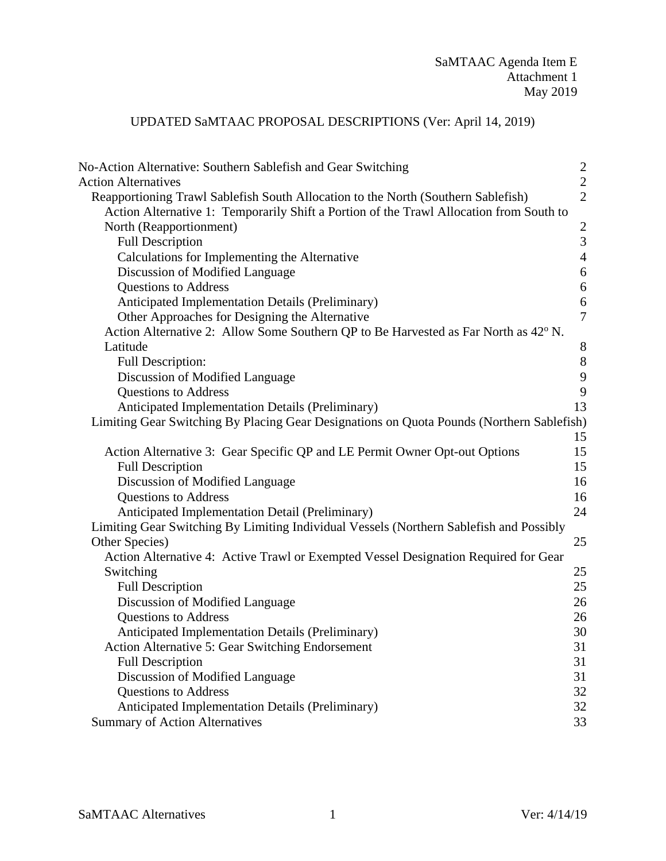## UPDATED SaMTAAC PROPOSAL DESCRIPTIONS (Ver: April 14, 2019)

| No-Action Alternative: Southern Sablefish and Gear Switching                              | $\overline{c}$   |
|-------------------------------------------------------------------------------------------|------------------|
| <b>Action Alternatives</b>                                                                | $\sqrt{2}$       |
| Reapportioning Trawl Sablefish South Allocation to the North (Southern Sablefish)         | $\overline{2}$   |
| Action Alternative 1: Temporarily Shift a Portion of the Trawl Allocation from South to   |                  |
| North (Reapportionment)                                                                   | $\overline{2}$   |
| <b>Full Description</b>                                                                   | 3                |
| Calculations for Implementing the Alternative                                             | $\overline{4}$   |
| Discussion of Modified Language                                                           | $\boldsymbol{6}$ |
| <b>Questions to Address</b>                                                               | $\boldsymbol{6}$ |
| <b>Anticipated Implementation Details (Preliminary)</b>                                   | 6                |
| Other Approaches for Designing the Alternative                                            | $\overline{7}$   |
| Action Alternative 2: Allow Some Southern QP to Be Harvested as Far North as 42° N.       |                  |
| Latitude                                                                                  | $8\phantom{1}$   |
| Full Description:                                                                         | 8                |
| Discussion of Modified Language                                                           | $\boldsymbol{9}$ |
| <b>Questions to Address</b>                                                               | $\boldsymbol{9}$ |
| <b>Anticipated Implementation Details (Preliminary)</b>                                   | 13               |
| Limiting Gear Switching By Placing Gear Designations on Quota Pounds (Northern Sablefish) |                  |
|                                                                                           | 15               |
| Action Alternative 3: Gear Specific QP and LE Permit Owner Opt-out Options                | 15               |
| <b>Full Description</b>                                                                   | 15               |
| Discussion of Modified Language                                                           | 16               |
| <b>Questions to Address</b>                                                               | 16               |
| Anticipated Implementation Detail (Preliminary)                                           | 24               |
| Limiting Gear Switching By Limiting Individual Vessels (Northern Sablefish and Possibly   |                  |
| Other Species)                                                                            | 25               |
| Action Alternative 4: Active Trawl or Exempted Vessel Designation Required for Gear       |                  |
| Switching                                                                                 | 25               |
| <b>Full Description</b>                                                                   | 25               |
| Discussion of Modified Language                                                           | 26               |
| <b>Questions to Address</b>                                                               | 26               |
| Anticipated Implementation Details (Preliminary)                                          | 30               |
| <b>Action Alternative 5: Gear Switching Endorsement</b>                                   | 31               |
| <b>Full Description</b>                                                                   | 31               |
| Discussion of Modified Language                                                           | 31               |
| <b>Questions to Address</b>                                                               | 32               |
| Anticipated Implementation Details (Preliminary)                                          | 32               |
| <b>Summary of Action Alternatives</b>                                                     | 33               |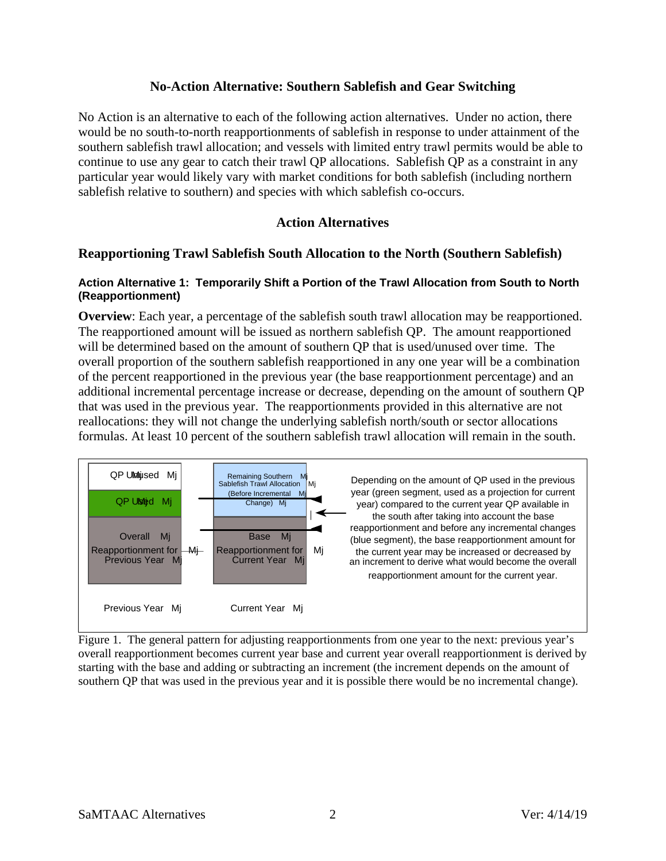## **No-Action Alternative: Southern Sablefish and Gear Switching**

<span id="page-1-0"></span>No Action is an alternative to each of the following action alternatives. Under no action, there would be no south-to-north reapportionments of sablefish in response to under attainment of the southern sablefish trawl allocation; and vessels with limited entry trawl permits would be able to continue to use any gear to catch their trawl QP allocations. Sablefish QP as a constraint in any particular year would likely vary with market conditions for both sablefish (including northern sablefish relative to southern) and species with which sablefish co-occurs.

## **Action Alternatives**

## <span id="page-1-2"></span><span id="page-1-1"></span>**Reapportioning Trawl Sablefish South Allocation to the North (Southern Sablefish)**

#### <span id="page-1-3"></span>**Action Alternative 1: Temporarily Shift a Portion of the Trawl Allocation from South to North (Reapportionment)**

**Overview**: Each year, a percentage of the sablefish south trawl allocation may be reapportioned. The reapportioned amount will be issued as northern sablefish QP. The amount reapportioned will be determined based on the amount of southern QP that is used/unused over time. The overall proportion of the southern sablefish reapportioned in any one year will be a combination of the percent reapportioned in the previous year (the base reapportionment percentage) and an additional incremental percentage increase or decrease, depending on the amount of southern QP that was used in the previous year. The reapportionments provided in this alternative are not reallocations: they will not change the underlying sablefish north/south or sector allocations formulas. At least 10 percent of the southern sablefish trawl allocation will remain in the south.



Figure 1. The general pattern for adjusting reapportionments from one year to the next: previous year's overall reapportionment becomes current year base and current year overall reapportionment is derived by starting with the base and adding or subtracting an increment (the increment depends on the amount of southern QP that was used in the previous year and it is possible there would be no incremental change).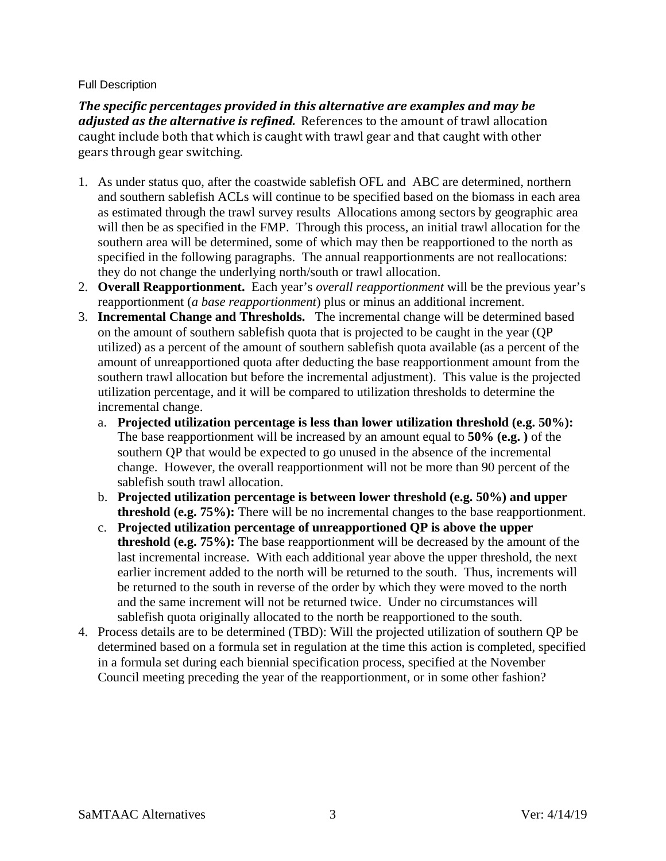#### <span id="page-2-0"></span>Full Description

*The specific percentages provided in this alternative are examples and may be adjusted as the alternative is refined.* References to the amount of trawl allocation caught include both that which is caught with trawl gear and that caught with other gears through gear switching.

- 1. As under status quo, after the coastwide sablefish OFL and ABC are determined, northern and southern sablefish ACLs will continue to be specified based on the biomass in each area as estimated through the trawl survey results Allocations among sectors by geographic area will then be as specified in the FMP. Through this process, an initial trawl allocation for the southern area will be determined, some of which may then be reapportioned to the north as specified in the following paragraphs. The annual reapportionments are not reallocations: they do not change the underlying north/south or trawl allocation.
- 2. **Overall Reapportionment.** Each year's *overall reapportionment* will be the previous year's reapportionment (*a base reapportionment*) plus or minus an additional increment.
- 3. **Incremental Change and Thresholds.** The incremental change will be determined based on the amount of southern sablefish quota that is projected to be caught in the year (QP utilized) as a percent of the amount of southern sablefish quota available (as a percent of the amount of unreapportioned quota after deducting the base reapportionment amount from the southern trawl allocation but before the incremental adjustment). This value is the projected utilization percentage, and it will be compared to utilization thresholds to determine the incremental change.
	- a. **Projected utilization percentage is less than lower utilization threshold (e.g. 50%):**  The base reapportionment will be increased by an amount equal to **50% (e.g. )** of the southern QP that would be expected to go unused in the absence of the incremental change. However, the overall reapportionment will not be more than 90 percent of the sablefish south trawl allocation.
	- b. **Projected utilization percentage is between lower threshold (e.g. 50%) and upper threshold (e.g. 75%):** There will be no incremental changes to the base reapportionment.
	- c. **Projected utilization percentage of unreapportioned QP is above the upper threshold (e.g. 75%):** The base reapportionment will be decreased by the amount of the last incremental increase. With each additional year above the upper threshold, the next earlier increment added to the north will be returned to the south. Thus, increments will be returned to the south in reverse of the order by which they were moved to the north and the same increment will not be returned twice. Under no circumstances will sablefish quota originally allocated to the north be reapportioned to the south.
- 4. Process details are to be determined (TBD): Will the projected utilization of southern QP be determined based on a formula set in regulation at the time this action is completed, specified in a formula set during each biennial specification process, specified at the November Council meeting preceding the year of the reapportionment, or in some other fashion?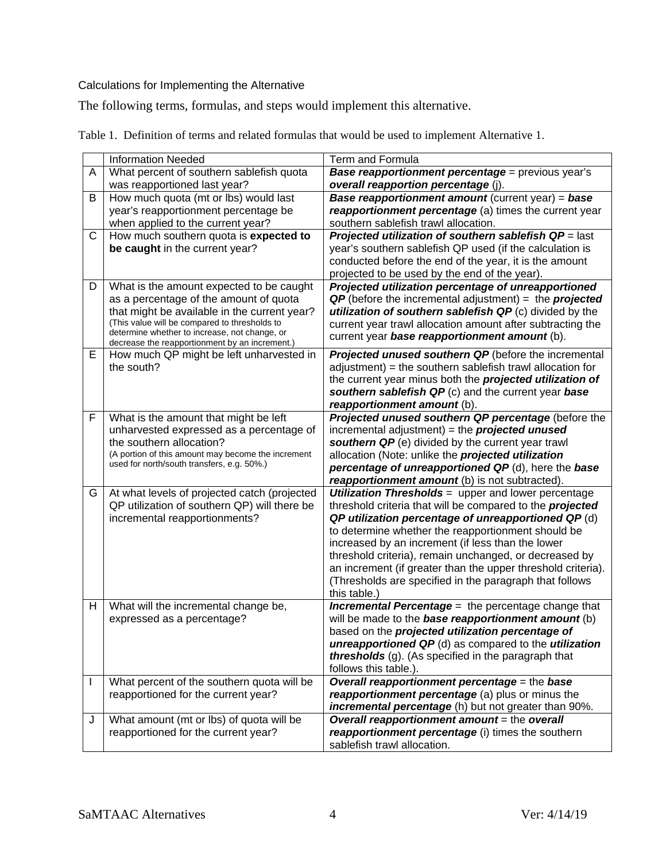## <span id="page-3-0"></span>Calculations for Implementing the Alternative

The following terms, formulas, and steps would implement this alternative.

|    | <b>Information Needed</b>                                                                       | <b>Term and Formula</b>                                          |
|----|-------------------------------------------------------------------------------------------------|------------------------------------------------------------------|
| A  | What percent of southern sablefish quota                                                        | Base reapportionment percentage = previous year's                |
|    | was reapportioned last year?                                                                    | overall reapportion percentage (j).                              |
| В  | How much quota (mt or lbs) would last                                                           | <b>Base reapportionment amount</b> (current year) = base         |
|    | year's reapportionment percentage be                                                            | reapportionment percentage (a) times the current year            |
|    | when applied to the current year?                                                               | southern sablefish trawl allocation.                             |
| C  | How much southern quota is expected to                                                          | Projected utilization of southern sablefish $QP =$ last          |
|    | be caught in the current year?                                                                  | year's southern sablefish QP used (if the calculation is         |
|    |                                                                                                 | conducted before the end of the year, it is the amount           |
|    |                                                                                                 | projected to be used by the end of the year).                    |
| D  | What is the amount expected to be caught                                                        | Projected utilization percentage of unreapportioned              |
|    | as a percentage of the amount of quota                                                          | $QP$ (before the incremental adjustment) = the <i>projected</i>  |
|    | that might be available in the current year?                                                    | utilization of southern sablefish QP (c) divided by the          |
|    | (This value will be compared to thresholds to                                                   | current year trawl allocation amount after subtracting the       |
|    | determine whether to increase, not change, or<br>decrease the reapportionment by an increment.) | current year base reapportionment amount (b).                    |
| Е  | How much QP might be left unharvested in                                                        | <b>Projected unused southern QP</b> (before the incremental      |
|    | the south?                                                                                      | adjustment) = the southern sablefish trawl allocation for        |
|    |                                                                                                 | the current year minus both the projected utilization of         |
|    |                                                                                                 | southern sablefish QP (c) and the current year base              |
|    |                                                                                                 | reapportionment amount (b).                                      |
| F  | What is the amount that might be left                                                           | Projected unused southern QP percentage (before the              |
|    | unharvested expressed as a percentage of                                                        | incremental adjustment) = the $projected$ unused                 |
|    | the southern allocation?                                                                        | southern QP (e) divided by the current year trawl                |
|    | (A portion of this amount may become the increment                                              | allocation (Note: unlike the projected utilization               |
|    | used for north/south transfers, e.g. 50%.)                                                      | percentage of unreapportioned QP (d), here the base              |
|    |                                                                                                 | reapportionment amount (b) is not subtracted).                   |
| G  | At what levels of projected catch (projected                                                    | <b>Utilization Thresholds</b> = upper and lower percentage       |
|    | QP utilization of southern QP) will there be                                                    | threshold criteria that will be compared to the <b>projected</b> |
|    | incremental reapportionments?                                                                   | QP utilization percentage of unreapportioned QP (d)              |
|    |                                                                                                 | to determine whether the reapportionment should be               |
|    |                                                                                                 | increased by an increment (if less than the lower                |
|    |                                                                                                 | threshold criteria), remain unchanged, or decreased by           |
|    |                                                                                                 | an increment (if greater than the upper threshold criteria).     |
|    |                                                                                                 | (Thresholds are specified in the paragraph that follows          |
|    |                                                                                                 | this table.)                                                     |
| H  | What will the incremental change be,                                                            | <b>Incremental Percentage</b> = the percentage change that       |
|    | expressed as a percentage?                                                                      | will be made to the <b>base reapportionment amount</b> (b)       |
|    |                                                                                                 | based on the projected utilization percentage of                 |
|    |                                                                                                 | unreapportioned QP (d) as compared to the <i>utilization</i>     |
|    |                                                                                                 | thresholds (g). (As specified in the paragraph that              |
|    |                                                                                                 | follows this table.).                                            |
| I. | What percent of the southern quota will be                                                      | Overall reapportionment percentage = the base                    |
|    | reapportioned for the current year?                                                             | reapportionment percentage (a) plus or minus the                 |
|    |                                                                                                 | incremental percentage (h) but not greater than 90%.             |
| J  | What amount (mt or lbs) of quota will be                                                        | Overall reapportionment amount = the overall                     |
|    | reapportioned for the current year?                                                             | reapportionment percentage (i) times the southern                |
|    |                                                                                                 | sablefish trawl allocation.                                      |

Table 1. Definition of terms and related formulas that would be used to implement Alternative 1.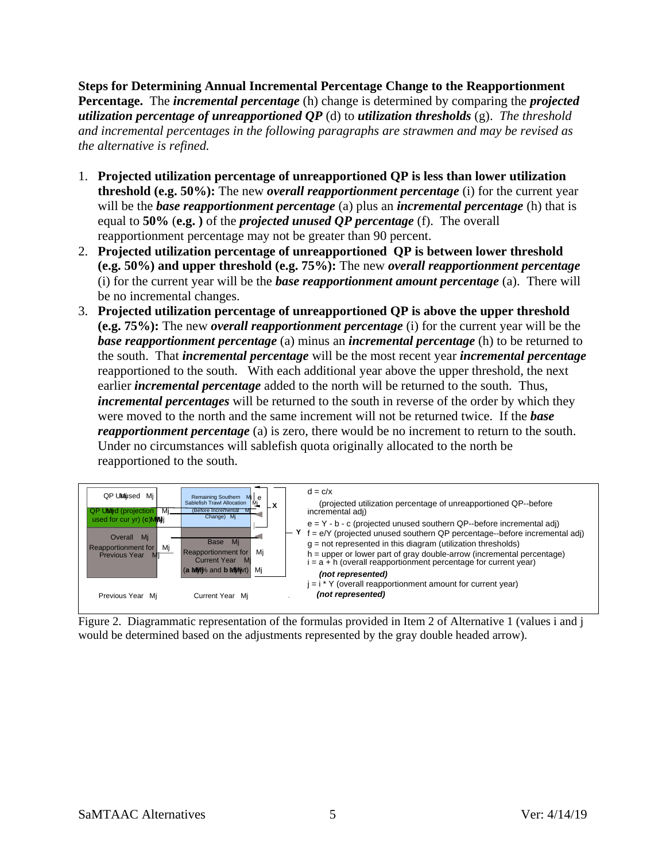**Steps for Determining Annual Incremental Percentage Change to the Reapportionment Percentage.** The *incremental percentage* (h) change is determined by comparing the *projected utilization percentage of unreapportioned QP* (d) to *utilization thresholds* (g). *The threshold and incremental percentages in the following paragraphs are strawmen and may be revised as the alternative is refined.*

- 1. **Projected utilization percentage of unreapportioned QP is less than lower utilization threshold (e.g. 50%):** The new *overall reapportionment percentage* (i) for the current year will be the *base reapportionment percentage* (a) plus an *incremental percentage* (h) that is equal to **50%** (**e.g. )** of the *projected unused QP percentage* (f). The overall reapportionment percentage may not be greater than 90 percent.
- 2. **Projected utilization percentage of unreapportioned QP is between lower threshold (e.g. 50%) and upper threshold (e.g. 75%):** The new *overall reapportionment percentage* (i) for the current year will be the *base reapportionment amount percentage* (a). There will be no incremental changes.
- 3. **Projected utilization percentage of unreapportioned QP is above the upper threshold (e.g. 75%):** The new *overall reapportionment percentage* (i) for the current year will be the *base reapportionment percentage* (a) minus an *incremental percentage* (h) to be returned to the south. That *incremental percentage* will be the most recent year *incremental percentage* reapportioned to the south. With each additional year above the upper threshold, the next earlier *incremental percentage* added to the north will be returned to the south. Thus, *incremental percentages* will be returned to the south in reverse of the order by which they were moved to the north and the same increment will not be returned twice. If the *base reapportionment percentage* (a) is zero, there would be no increment to return to the south. Under no circumstances will sablefish quota originally allocated to the north be reapportioned to the south.



Figure 2. Diagrammatic representation of the formulas provided in Item 2 of Alternative 1 (values i and j would be determined based on the adjustments represented by the gray double headed arrow).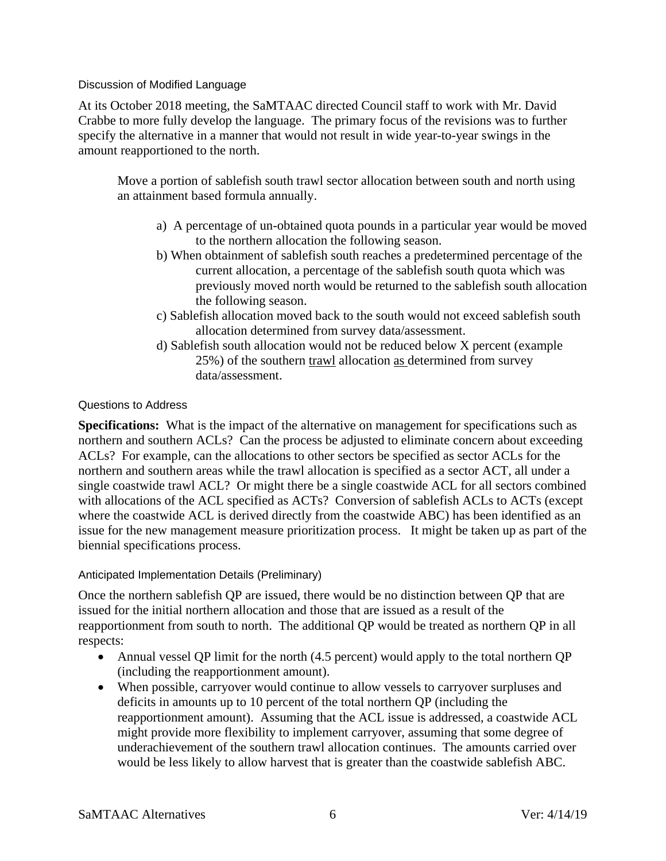<span id="page-5-0"></span>Discussion of Modified Language

At its October 2018 meeting, the SaMTAAC directed Council staff to work with Mr. David Crabbe to more fully develop the language. The primary focus of the revisions was to further specify the alternative in a manner that would not result in wide year-to-year swings in the amount reapportioned to the north.

Move a portion of sablefish south trawl sector allocation between south and north using an attainment based formula annually.

- a) A percentage of un-obtained quota pounds in a particular year would be moved to the northern allocation the following season.
- b) When obtainment of sablefish south reaches a predetermined percentage of the current allocation, a percentage of the sablefish south quota which was previously moved north would be returned to the sablefish south allocation the following season.
- c) Sablefish allocation moved back to the south would not exceed sablefish south allocation determined from survey data/assessment.
- d) Sablefish south allocation would not be reduced below X percent (example 25%) of the southern trawl allocation as determined from survey data/assessment.

## <span id="page-5-1"></span>Questions to Address

**Specifications:** What is the impact of the alternative on management for specifications such as northern and southern ACLs? Can the process be adjusted to eliminate concern about exceeding ACLs? For example, can the allocations to other sectors be specified as sector ACLs for the northern and southern areas while the trawl allocation is specified as a sector ACT, all under a single coastwide trawl ACL? Or might there be a single coastwide ACL for all sectors combined with allocations of the ACL specified as ACTs? Conversion of sablefish ACLs to ACTs (except where the coastwide ACL is derived directly from the coastwide ABC) has been identified as an issue for the new management measure prioritization process. It might be taken up as part of the biennial specifications process.

#### <span id="page-5-2"></span>Anticipated Implementation Details (Preliminary)

Once the northern sablefish QP are issued, there would be no distinction between QP that are issued for the initial northern allocation and those that are issued as a result of the reapportionment from south to north. The additional QP would be treated as northern QP in all respects:

- Annual vessel QP limit for the north (4.5 percent) would apply to the total northern QP (including the reapportionment amount).
- When possible, carryover would continue to allow vessels to carryover surpluses and deficits in amounts up to 10 percent of the total northern QP (including the reapportionment amount). Assuming that the ACL issue is addressed, a coastwide ACL might provide more flexibility to implement carryover, assuming that some degree of underachievement of the southern trawl allocation continues. The amounts carried over would be less likely to allow harvest that is greater than the coastwide sablefish ABC.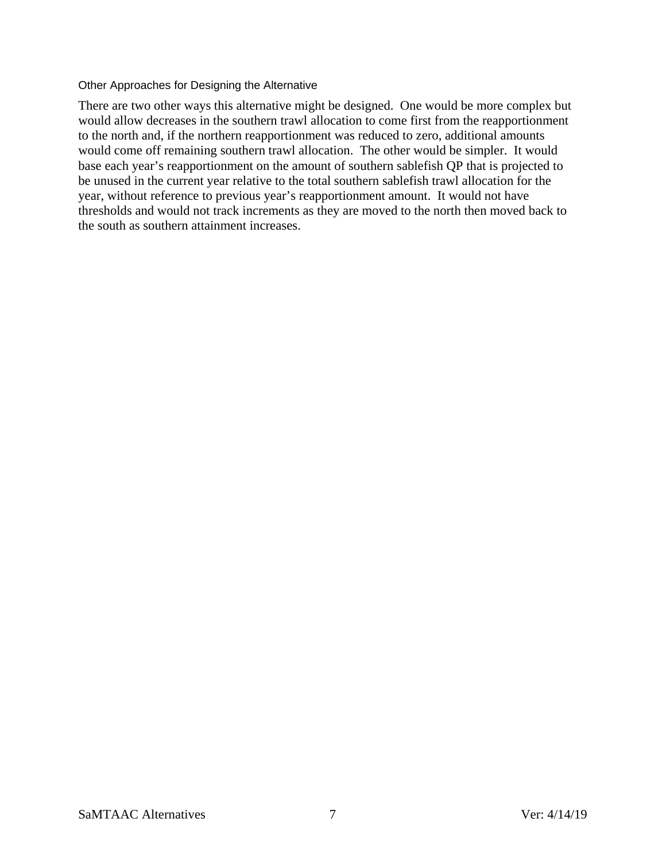#### <span id="page-6-0"></span>Other Approaches for Designing the Alternative

There are two other ways this alternative might be designed. One would be more complex but would allow decreases in the southern trawl allocation to come first from the reapportionment to the north and, if the northern reapportionment was reduced to zero, additional amounts would come off remaining southern trawl allocation. The other would be simpler. It would base each year's reapportionment on the amount of southern sablefish QP that is projected to be unused in the current year relative to the total southern sablefish trawl allocation for the year, without reference to previous year's reapportionment amount. It would not have thresholds and would not track increments as they are moved to the north then moved back to the south as southern attainment increases.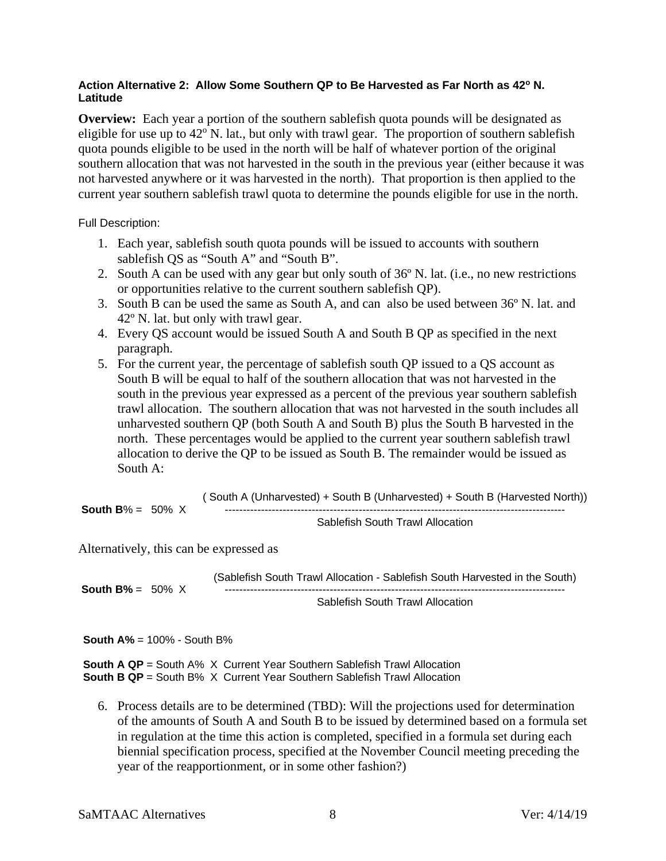#### <span id="page-7-0"></span>**Action Alternative 2: Allow Some Southern QP to Be Harvested as Far North as 42o N. Latitude**

**Overview:** Each year a portion of the southern sablefish quota pounds will be designated as eligible for use up to  $42^{\circ}$  N. lat., but only with trawl gear. The proportion of southern sablefish quota pounds eligible to be used in the north will be half of whatever portion of the original southern allocation that was not harvested in the south in the previous year (either because it was not harvested anywhere or it was harvested in the north). That proportion is then applied to the current year southern sablefish trawl quota to determine the pounds eligible for use in the north.

<span id="page-7-1"></span>Full Description:

- 1. Each year, sablefish south quota pounds will be issued to accounts with southern sablefish QS as "South A" and "South B".
- 2. South A can be used with any gear but only south of 36º N. lat. (i.e., no new restrictions or opportunities relative to the current southern sablefish QP).
- 3. South B can be used the same as South A, and can also be used between 36º N. lat. and 42º N. lat. but only with trawl gear.
- 4. Every QS account would be issued South A and South B QP as specified in the next paragraph.
- 5. For the current year, the percentage of sablefish south QP issued to a QS account as South B will be equal to half of the southern allocation that was not harvested in the south in the previous year expressed as a percent of the previous year southern sablefish trawl allocation. The southern allocation that was not harvested in the south includes all unharvested southern QP (both South A and South B) plus the South B harvested in the north. These percentages would be applied to the current year southern sablefish trawl allocation to derive the QP to be issued as South B. The remainder would be issued as South A:

**South B**% =  $50\%$  X ( South A (Unharvested) + South B (Unharvested) + South B (Harvested North)) ----------------------------------------------------------------------------------------------

Sablefish South Trawl Allocation

Alternatively, this can be expressed as

**South B%** =  $50\%$  X

(Sablefish South Trawl Allocation - Sablefish South Harvested in the South) ----------------------------------------------------------------------------------------------

Sablefish South Trawl Allocation

**South A%** = 100% - South B%

**South A QP** = South A% X Current Year Southern Sablefish Trawl Allocation **South B QP** = South B% X Current Year Southern Sablefish Trawl Allocation

6. Process details are to be determined (TBD): Will the projections used for determination of the amounts of South A and South B to be issued by determined based on a formula set in regulation at the time this action is completed, specified in a formula set during each biennial specification process, specified at the November Council meeting preceding the year of the reapportionment, or in some other fashion?)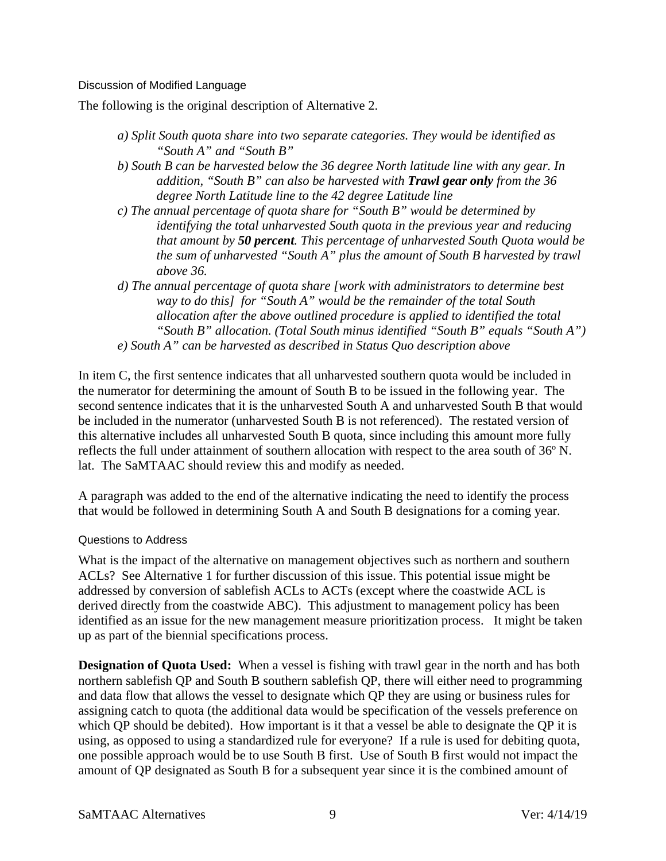#### <span id="page-8-0"></span>Discussion of Modified Language

The following is the original description of Alternative 2.

- *a) Split South quota share into two separate categories. They would be identified as "South A" and "South B"*
- *b) South B can be harvested below the 36 degree North latitude line with any gear. In addition, "South B" can also be harvested with Trawl gear only from the 36 degree North Latitude line to the 42 degree Latitude line*
- *c) The annual percentage of quota share for "South B" would be determined by identifying the total unharvested South quota in the previous year and reducing that amount by 50 percent. This percentage of unharvested South Quota would be the sum of unharvested "South A" plus the amount of South B harvested by trawl above 36.*
- *d) The annual percentage of quota share [work with administrators to determine best way to do this] for "South A" would be the remainder of the total South allocation after the above outlined procedure is applied to identified the total "South B" allocation. (Total South minus identified "South B" equals "South A") e) South A" can be harvested as described in Status Quo description above*

In item C, the first sentence indicates that all unharvested southern quota would be included in the numerator for determining the amount of South B to be issued in the following year. The second sentence indicates that it is the unharvested South A and unharvested South B that would be included in the numerator (unharvested South B is not referenced). The restated version of this alternative includes all unharvested South B quota, since including this amount more fully reflects the full under attainment of southern allocation with respect to the area south of 36º N. lat. The SaMTAAC should review this and modify as needed.

A paragraph was added to the end of the alternative indicating the need to identify the process that would be followed in determining South A and South B designations for a coming year.

#### <span id="page-8-1"></span>Questions to Address

What is the impact of the alternative on management objectives such as northern and southern ACLs? See Alternative 1 for further discussion of this issue. This potential issue might be addressed by conversion of sablefish ACLs to ACTs (except where the coastwide ACL is derived directly from the coastwide ABC). This adjustment to management policy has been identified as an issue for the new management measure prioritization process. It might be taken up as part of the biennial specifications process.

**Designation of Quota Used:** When a vessel is fishing with trawl gear in the north and has both northern sablefish QP and South B southern sablefish QP, there will either need to programming and data flow that allows the vessel to designate which QP they are using or business rules for assigning catch to quota (the additional data would be specification of the vessels preference on which QP should be debited). How important is it that a vessel be able to designate the QP it is using, as opposed to using a standardized rule for everyone? If a rule is used for debiting quota, one possible approach would be to use South B first. Use of South B first would not impact the amount of QP designated as South B for a subsequent year since it is the combined amount of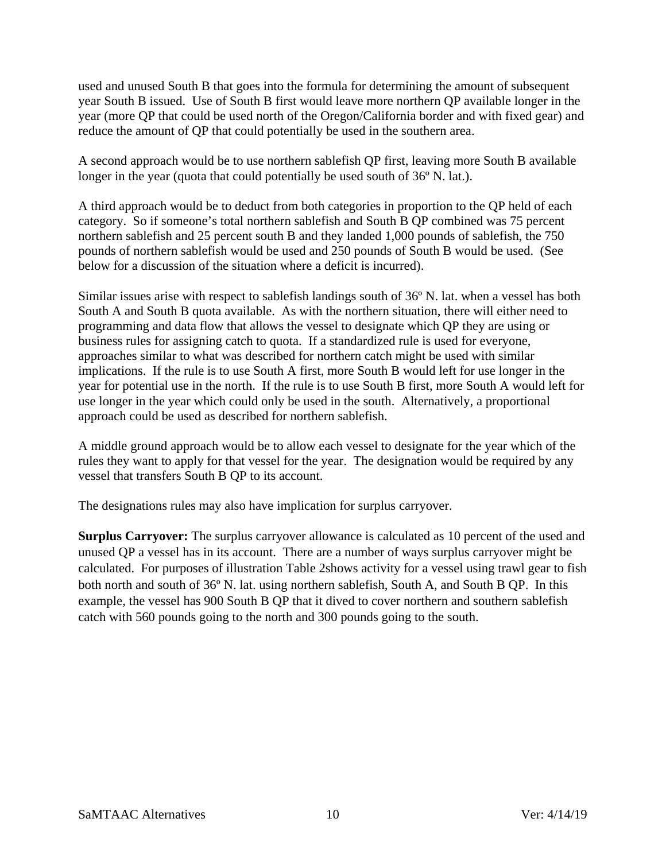used and unused South B that goes into the formula for determining the amount of subsequent year South B issued. Use of South B first would leave more northern QP available longer in the year (more QP that could be used north of the Oregon/California border and with fixed gear) and reduce the amount of QP that could potentially be used in the southern area.

A second approach would be to use northern sablefish QP first, leaving more South B available longer in the year (quota that could potentially be used south of 36° N. lat.).

A third approach would be to deduct from both categories in proportion to the QP held of each category. So if someone's total northern sablefish and South B QP combined was 75 percent northern sablefish and 25 percent south B and they landed 1,000 pounds of sablefish, the 750 pounds of northern sablefish would be used and 250 pounds of South B would be used. (See below for a discussion of the situation where a deficit is incurred).

Similar issues arise with respect to sablefish landings south of 36º N. lat. when a vessel has both South A and South B quota available. As with the northern situation, there will either need to programming and data flow that allows the vessel to designate which QP they are using or business rules for assigning catch to quota. If a standardized rule is used for everyone, approaches similar to what was described for northern catch might be used with similar implications. If the rule is to use South A first, more South B would left for use longer in the year for potential use in the north. If the rule is to use South B first, more South A would left for use longer in the year which could only be used in the south. Alternatively, a proportional approach could be used as described for northern sablefish.

A middle ground approach would be to allow each vessel to designate for the year which of the rules they want to apply for that vessel for the year. The designation would be required by any vessel that transfers South B QP to its account.

The designations rules may also have implication for surplus carryover.

**Surplus Carryover:** The surplus carryover allowance is calculated as 10 percent of the used and unused QP a vessel has in its account. There are a number of ways surplus carryover might be calculated. For purposes of illustration [Table 2s](#page-10-0)hows activity for a vessel using trawl gear to fish both north and south of 36º N. lat. using northern sablefish, South A, and South B QP. In this example, the vessel has 900 South B QP that it dived to cover northern and southern sablefish catch with 560 pounds going to the north and 300 pounds going to the south.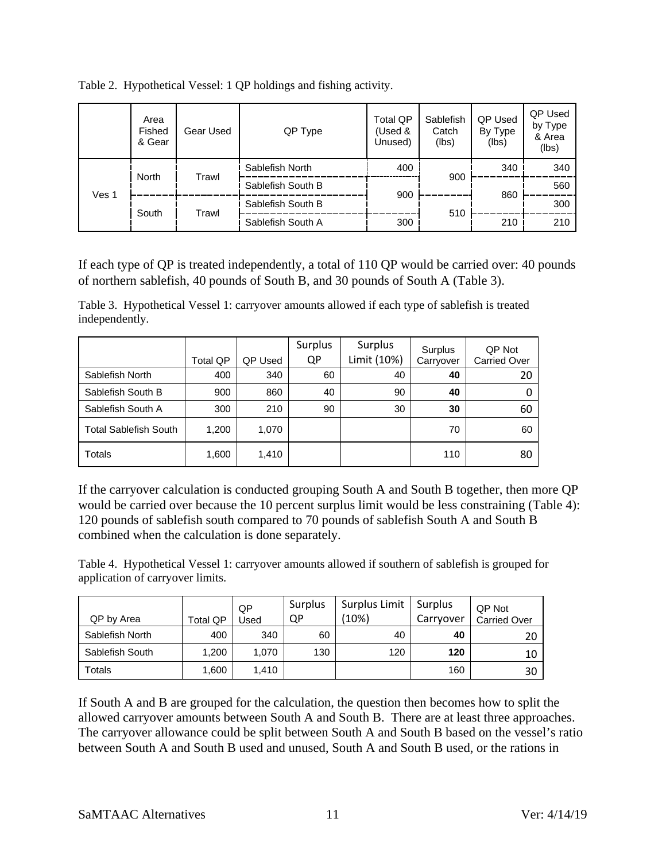|       | Area<br>Fished<br>& Gear | Gear Used      | QP Type           | <b>Total QP</b><br>(Used &<br>Unused) | Sablefish<br>Catch<br>(lbs) | QP Used<br>By Type<br>(lbs) | QP Used<br>by Type<br>& Area<br>(lbs) |
|-------|--------------------------|----------------|-------------------|---------------------------------------|-----------------------------|-----------------------------|---------------------------------------|
|       | North<br>South           | Trawl<br>Trawl | Sablefish North   | 400                                   |                             | 340                         | 340                                   |
|       |                          |                | Sablefish South B |                                       | 900                         |                             | 560                                   |
| Ves 1 |                          |                | Sablefish South B | 900                                   |                             | 860                         | 300                                   |
|       |                          |                | Sablefish South A | 300                                   | 510                         | 210                         | 210                                   |

<span id="page-10-0"></span>Table 2. Hypothetical Vessel: 1 QP holdings and fishing activity.

If each type of QP is treated independently, a total of 110 QP would be carried over: 40 pounds of northern sablefish, 40 pounds of South B, and 30 pounds of South A [\(Table 3\)](#page-10-1).

<span id="page-10-1"></span>Table 3. Hypothetical Vessel 1: carryover amounts allowed if each type of sablefish is treated independently.

|                              | <b>Total QP</b> | QP Used | Surplus<br>QP | Surplus<br>Limit (10%) | Surplus<br>Carryover | QP Not<br><b>Carried Over</b> |
|------------------------------|-----------------|---------|---------------|------------------------|----------------------|-------------------------------|
| Sablefish North              | 400             | 340     | 60            | 40                     | 40                   | 20                            |
| Sablefish South B            | 900             | 860     | 40            | 90                     | 40                   | 0                             |
| Sablefish South A            | 300             | 210     | 90            | 30                     | 30                   | 60                            |
| <b>Total Sablefish South</b> | 1,200           | 1,070   |               |                        | 70                   | 60                            |
| Totals                       | 1,600           | 1,410   |               |                        | 110                  | 80                            |

If the carryover calculation is conducted grouping South A and South B together, then more QP would be carried over because the 10 percent surplus limit would be less constraining [\(Table 4\)](#page-10-2): 120 pounds of sablefish south compared to 70 pounds of sablefish South A and South B combined when the calculation is done separately.

<span id="page-10-2"></span>Table 4. Hypothetical Vessel 1: carryover amounts allowed if southern of sablefish is grouped for application of carryover limits.

| QP by Area      | Total QP | <b>QP</b><br>Jsed | Surplus<br>QP | Surplus Limit<br>(10%) | Surplus<br>Carryover | QP Not<br><b>Carried Over</b> |
|-----------------|----------|-------------------|---------------|------------------------|----------------------|-------------------------------|
| Sablefish North | 400      | 340               | 60            | 40                     | 40                   | 20                            |
| Sablefish South | 1.200    | 1.070             | 130           | 120                    | 120                  | 10                            |
| Totals          | 006,     | 1,410             |               |                        | 160                  | 30                            |

If South A and B are grouped for the calculation, the question then becomes how to split the allowed carryover amounts between South A and South B. There are at least three approaches. The carryover allowance could be split between South A and South B based on the vessel's ratio between South A and South B used and unused, South A and South B used, or the rations in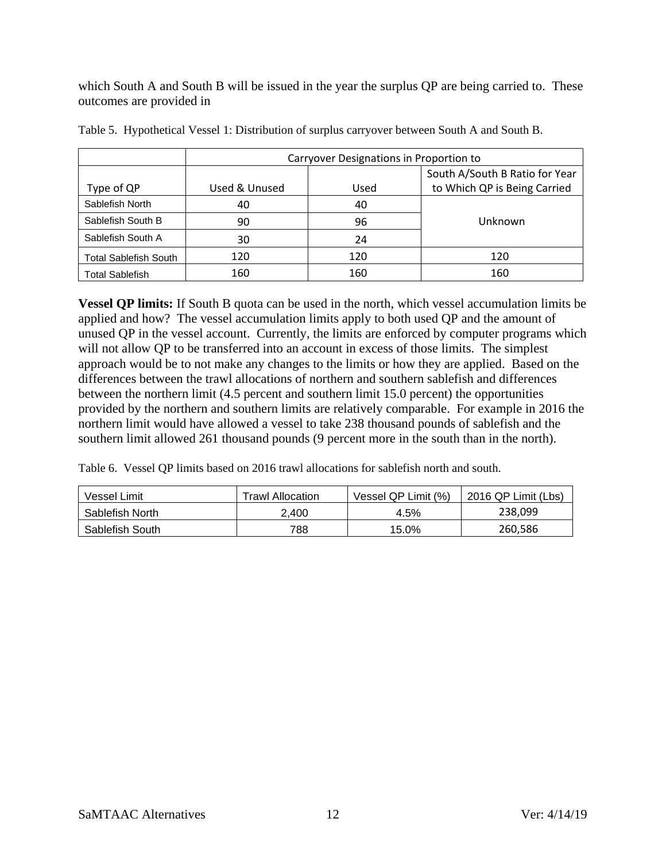which South A and South B will be issued in the year the surplus QP are being carried to. These outcomes are provided in

|                              | Carryover Designations in Proportion to               |     |                                |  |  |  |  |  |
|------------------------------|-------------------------------------------------------|-----|--------------------------------|--|--|--|--|--|
|                              |                                                       |     | South A/South B Ratio for Year |  |  |  |  |  |
| Type of QP                   | to Which QP is Being Carried<br>Used & Unused<br>Used |     |                                |  |  |  |  |  |
| Sablefish North              | 40                                                    | 40  |                                |  |  |  |  |  |
| Sablefish South B            | 90                                                    | 96  | Unknown                        |  |  |  |  |  |
| Sablefish South A            | 30                                                    | 24  |                                |  |  |  |  |  |
| <b>Total Sablefish South</b> | 120                                                   | 120 | 120                            |  |  |  |  |  |
| <b>Total Sablefish</b>       | 160                                                   | 160 | 160                            |  |  |  |  |  |

Table 5. Hypothetical Vessel 1: Distribution of surplus carryover between South A and South B.

**Vessel QP limits:** If South B quota can be used in the north, which vessel accumulation limits be applied and how? The vessel accumulation limits apply to both used QP and the amount of unused QP in the vessel account. Currently, the limits are enforced by computer programs which will not allow QP to be transferred into an account in excess of those limits. The simplest approach would be to not make any changes to the limits or how they are applied. Based on the differences between the trawl allocations of northern and southern sablefish and differences between the northern limit (4.5 percent and southern limit 15.0 percent) the opportunities provided by the northern and southern limits are relatively comparable. For example in 2016 the northern limit would have allowed a vessel to take 238 thousand pounds of sablefish and the southern limit allowed 261 thousand pounds (9 percent more in the south than in the north).

Table 6. Vessel QP limits based on 2016 trawl allocations for sablefish north and south.

| Vessel Limit    | <b>Trawl Allocation</b> | Vessel QP Limit (%) | 2016 QP Limit (Lbs) |
|-----------------|-------------------------|---------------------|---------------------|
| Sablefish North | 2.400                   | 4.5%                | 238,099             |
| Sablefish South | 788                     | 15.0%               | 260,586             |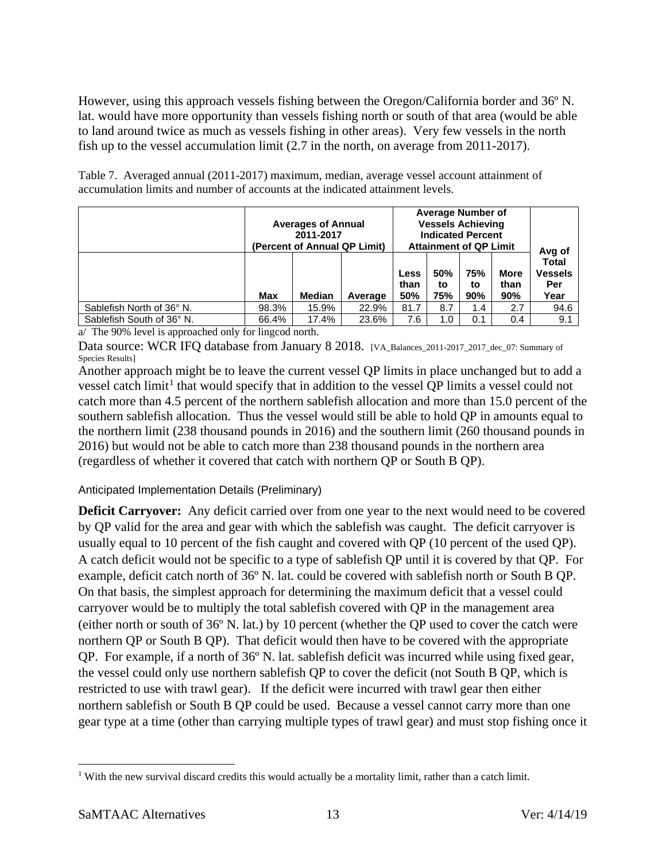However, using this approach vessels fishing between the Oregon/California border and 36º N. lat. would have more opportunity than vessels fishing north or south of that area (would be able to land around twice as much as vessels fishing in other areas). Very few vessels in the north fish up to the vessel accumulation limit (2.7 in the north, on average from 2011-2017).

Table 7. Averaged annual (2011-2017) maximum, median, average vessel account attainment of accumulation limits and number of accounts at the indicated attainment levels.

|                           | <b>Averages of Annual</b><br>2011-2017<br>(Percent of Annual QP Limit) |       |                            | <b>Average Number of</b><br><b>Vessels Achieving</b><br><b>Indicated Percent</b><br><b>Attainment of QP Limit</b> |                  |                            |                                               | Avg of |
|---------------------------|------------------------------------------------------------------------|-------|----------------------------|-------------------------------------------------------------------------------------------------------------------|------------------|----------------------------|-----------------------------------------------|--------|
|                           | <b>Max</b><br><b>Median</b><br>Average                                 |       | <b>Less</b><br>than<br>50% | 50%<br>to<br>75%                                                                                                  | 75%<br>to<br>90% | <b>More</b><br>than<br>90% | <b>Total</b><br><b>Vessels</b><br>Per<br>Year |        |
| Sablefish North of 36° N. | 98.3%                                                                  | 15.9% | 22.9%                      | 81.7                                                                                                              | 8.7              | 1.4                        | 2.7                                           | 94.6   |
| Sablefish South of 36° N. | 66.4%                                                                  | 17.4% | 23.6%                      | 7.6                                                                                                               | 1.0              | 0.1                        | 0.4                                           | 9.1    |

a/ The 90% level is approached only for lingcod north.

Data source: WCR IFQ database from January 8 2018. [VA\_Balances\_2011-2017\_2017\_dec\_07: Summary of Species Results]

Another approach might be to leave the current vessel QP limits in place unchanged but to add a vessel catch limit<sup>[1](#page-12-1)</sup> that would specify that in addition to the vessel QP limits a vessel could not catch more than 4.5 percent of the northern sablefish allocation and more than 15.0 percent of the southern sablefish allocation. Thus the vessel would still be able to hold QP in amounts equal to the northern limit (238 thousand pounds in 2016) and the southern limit (260 thousand pounds in 2016) but would not be able to catch more than 238 thousand pounds in the northern area (regardless of whether it covered that catch with northern QP or South B QP).

<span id="page-12-0"></span>Anticipated Implementation Details (Preliminary)

**Deficit Carryover:** Any deficit carried over from one year to the next would need to be covered by QP valid for the area and gear with which the sablefish was caught. The deficit carryover is usually equal to 10 percent of the fish caught and covered with QP (10 percent of the used QP). A catch deficit would not be specific to a type of sablefish QP until it is covered by that QP. For example, deficit catch north of 36º N. lat. could be covered with sablefish north or South B QP. On that basis, the simplest approach for determining the maximum deficit that a vessel could carryover would be to multiply the total sablefish covered with QP in the management area (either north or south of 36º N. lat.) by 10 percent (whether the QP used to cover the catch were northern QP or South B QP). That deficit would then have to be covered with the appropriate QP. For example, if a north of 36º N. lat. sablefish deficit was incurred while using fixed gear, the vessel could only use northern sablefish QP to cover the deficit (not South B QP, which is restricted to use with trawl gear). If the deficit were incurred with trawl gear then either northern sablefish or South B QP could be used. Because a vessel cannot carry more than one gear type at a time (other than carrying multiple types of trawl gear) and must stop fishing once it

<span id="page-12-1"></span><sup>&</sup>lt;sup>1</sup> With the new survival discard credits this would actually be a mortality limit, rather than a catch limit.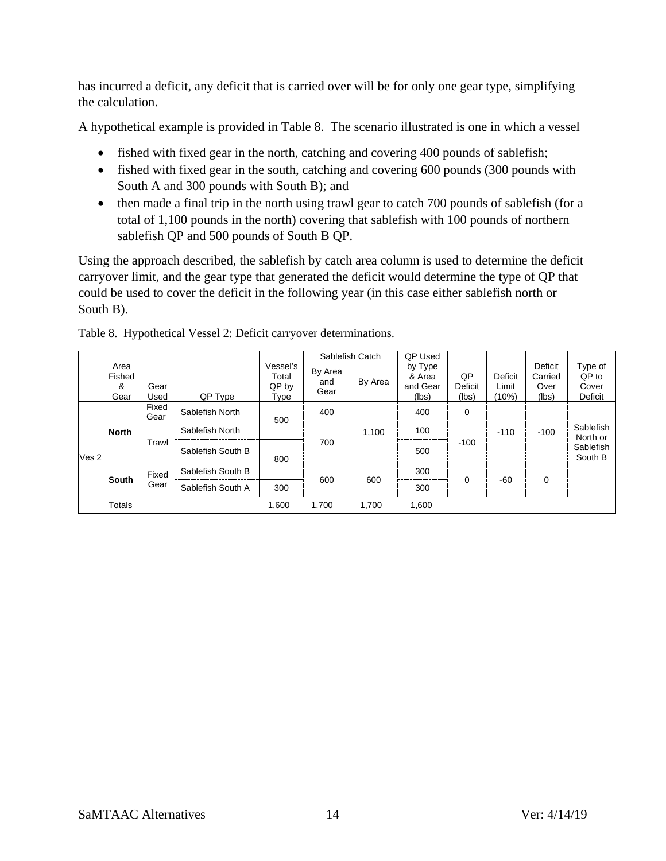has incurred a deficit, any deficit that is carried over will be for only one gear type, simplifying the calculation.

A hypothetical example is provided in [Table 8.](#page-13-0) The scenario illustrated is one in which a vessel

- fished with fixed gear in the north, catching and covering 400 pounds of sablefish;
- fished with fixed gear in the south, catching and covering 600 pounds (300 pounds with South A and 300 pounds with South B); and
- then made a final trip in the north using trawl gear to catch 700 pounds of sablefish (for a total of 1,100 pounds in the north) covering that sablefish with 100 pounds of northern sablefish QP and 500 pounds of South B QP.

Using the approach described, the sablefish by catch area column is used to determine the deficit carryover limit, and the gear type that generated the deficit would determine the type of QP that could be used to cover the deficit in the following year (in this case either sablefish north or South B).

|                  |                             |                                               |                   |                                    |                        | Sablefish Catch | QP Used                                |                        |                           |                                     |                                      |  |
|------------------|-----------------------------|-----------------------------------------------|-------------------|------------------------------------|------------------------|-----------------|----------------------------------------|------------------------|---------------------------|-------------------------------------|--------------------------------------|--|
|                  | Area<br>Fished<br>&<br>Gear | Gear<br>Used                                  | QP Type           | Vessel's<br>Total<br>QP by<br>Type | By Area<br>and<br>Gear | By Area         | by Type<br>& Area<br>and Gear<br>(lbs) | QP<br>Deficit<br>(lbs) | Deficit<br>Limit<br>(10%) | Deficit<br>Carried<br>Over<br>(lbs) | Type of<br>QP to<br>Cover<br>Deficit |  |
| Ves <sub>2</sub> | <b>North</b>                | Fixed<br>Gear                                 | Sablefish North   | 500                                | 400                    |                 | 400                                    | $\mathbf 0$            |                           |                                     |                                      |  |
|                  |                             | Sablefish North<br>Trawl<br>Sablefish South B |                   |                                    |                        | 1.100           | 100                                    | $-110$                 |                           | $-100$                              | Sablefish<br>North or                |  |
|                  |                             |                                               | 800               | 700                                |                        | 500             | $-100$                                 |                        |                           | Sablefish<br>South B                |                                      |  |
|                  |                             | Fixed                                         | Sablefish South B |                                    |                        | 600             | 300                                    | 0                      | $-60$                     |                                     |                                      |  |
|                  | South                       |                                               | Gear              | Sablefish South A                  | 300                    | 600             |                                        | 300                    |                           |                                     | 0                                    |  |
|                  | Totals                      |                                               |                   | 1,600                              | 1,700                  | 1,700           | 1,600                                  |                        |                           |                                     |                                      |  |

<span id="page-13-0"></span>Table 8. Hypothetical Vessel 2: Deficit carryover determinations.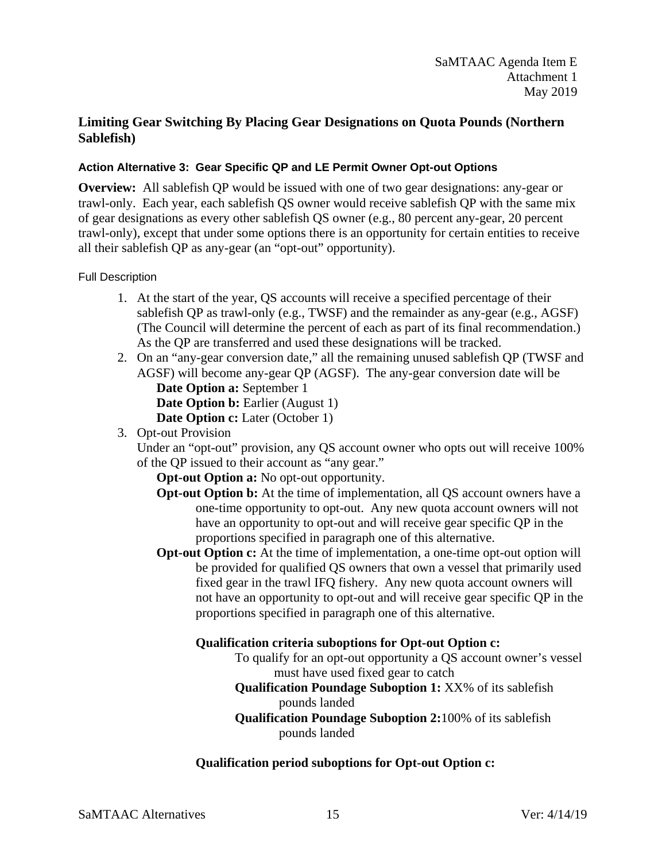## <span id="page-14-0"></span>**Limiting Gear Switching By Placing Gear Designations on Quota Pounds (Northern Sablefish)**

## <span id="page-14-1"></span>**Action Alternative 3: Gear Specific QP and LE Permit Owner Opt-out Options**

**Overview:** All sablefish QP would be issued with one of two gear designations: any-gear or trawl-only. Each year, each sablefish QS owner would receive sablefish QP with the same mix of gear designations as every other sablefish QS owner (e.g., 80 percent any-gear, 20 percent trawl-only), except that under some options there is an opportunity for certain entities to receive all their sablefish QP as any-gear (an "opt-out" opportunity).

#### <span id="page-14-2"></span>Full Description

- 1. At the start of the year, QS accounts will receive a specified percentage of their sablefish QP as trawl-only (e.g., TWSF) and the remainder as any-gear (e.g., AGSF) (The Council will determine the percent of each as part of its final recommendation.) As the QP are transferred and used these designations will be tracked.
- 2. On an "any-gear conversion date," all the remaining unused sablefish QP (TWSF and AGSF) will become any-gear QP (AGSF). The any-gear conversion date will be **Date Option a:** September 1 **Date Option b:** Earlier (August 1) **Date Option c:** Later (October 1)
- 3. Opt-out Provision

Under an "opt-out" provision, any QS account owner who opts out will receive 100% of the QP issued to their account as "any gear."

**Opt-out Option a:** No opt-out opportunity.

- **Opt-out Option b:** At the time of implementation, all QS account owners have a one-time opportunity to opt-out. Any new quota account owners will not have an opportunity to opt-out and will receive gear specific QP in the proportions specified in paragraph one of this alternative.
- **Opt-out Option c:** At the time of implementation, a one-time opt-out option will be provided for qualified QS owners that own a vessel that primarily used fixed gear in the trawl IFQ fishery. Any new quota account owners will not have an opportunity to opt-out and will receive gear specific QP in the proportions specified in paragraph one of this alternative.

## **Qualification criteria suboptions for Opt-out Option c:**

To qualify for an opt-out opportunity a QS account owner's vessel must have used fixed gear to catch

## **Qualification Poundage Suboption 1:** XX% of its sablefish pounds landed

**Qualification Poundage Suboption 2:**100% of its sablefish pounds landed

## **Qualification period suboptions for Opt-out Option c:**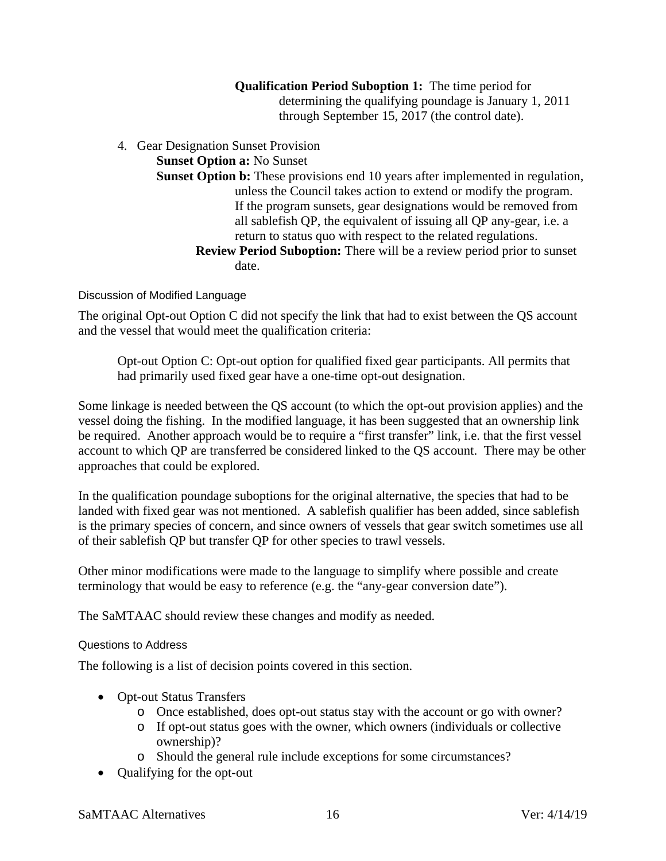**Qualification Period Suboption 1:** The time period for determining the qualifying poundage is January 1, 2011 through September 15, 2017 (the control date).

4. Gear Designation Sunset Provision

**Sunset Option a:** No Sunset

- **Sunset Option b:** These provisions end 10 years after implemented in regulation, unless the Council takes action to extend or modify the program. If the program sunsets, gear designations would be removed from all sablefish QP, the equivalent of issuing all QP any-gear, i.e. a return to status quo with respect to the related regulations.
	- **Review Period Suboption:** There will be a review period prior to sunset date.

<span id="page-15-0"></span>Discussion of Modified Language

The original Opt-out Option C did not specify the link that had to exist between the QS account and the vessel that would meet the qualification criteria:

Opt-out Option C: Opt-out option for qualified fixed gear participants. All permits that had primarily used fixed gear have a one-time opt-out designation.

Some linkage is needed between the QS account (to which the opt-out provision applies) and the vessel doing the fishing. In the modified language, it has been suggested that an ownership link be required. Another approach would be to require a "first transfer" link, i.e. that the first vessel account to which QP are transferred be considered linked to the QS account. There may be other approaches that could be explored.

In the qualification poundage suboptions for the original alternative, the species that had to be landed with fixed gear was not mentioned. A sablefish qualifier has been added, since sablefish is the primary species of concern, and since owners of vessels that gear switch sometimes use all of their sablefish QP but transfer QP for other species to trawl vessels.

Other minor modifications were made to the language to simplify where possible and create terminology that would be easy to reference (e.g. the "any-gear conversion date").

<span id="page-15-1"></span>The SaMTAAC should review these changes and modify as needed.

#### Questions to Address

The following is a list of decision points covered in this section.

- Opt-out Status Transfers
	- o Once established, does opt-out status stay with the account or go with owner?
	- o If opt-out status goes with the owner, which owners (individuals or collective ownership)?
	- o Should the general rule include exceptions for some circumstances?
- Qualifying for the opt-out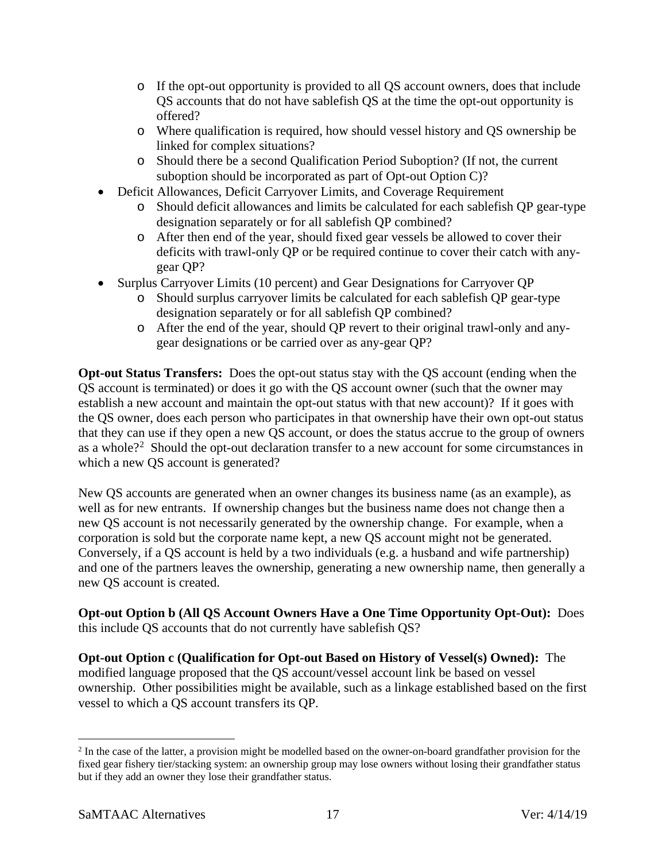- o If the opt-out opportunity is provided to all QS account owners, does that include QS accounts that do not have sablefish QS at the time the opt-out opportunity is offered?
- o Where qualification is required, how should vessel history and QS ownership be linked for complex situations?
- o Should there be a second Qualification Period Suboption? (If not, the current suboption should be incorporated as part of Opt-out Option C)?
- Deficit Allowances, Deficit Carryover Limits, and Coverage Requirement
	- o Should deficit allowances and limits be calculated for each sablefish QP gear-type designation separately or for all sablefish QP combined?
	- o After then end of the year, should fixed gear vessels be allowed to cover their deficits with trawl-only QP or be required continue to cover their catch with anygear QP?
- Surplus Carryover Limits (10 percent) and Gear Designations for Carryover QP
	- o Should surplus carryover limits be calculated for each sablefish QP gear-type designation separately or for all sablefish QP combined?
	- o After the end of the year, should QP revert to their original trawl-only and anygear designations or be carried over as any-gear QP?

<span id="page-16-1"></span>**Opt-out Status Transfers:** Does the opt-out status stay with the QS account (ending when the QS account is terminated) or does it go with the QS account owner (such that the owner may establish a new account and maintain the opt-out status with that new account)? If it goes with the QS owner, does each person who participates in that ownership have their own opt-out status that they can use if they open a new QS account, or does the status accrue to the group of owners as a whole?<sup>[2](#page-16-0)</sup> Should the opt-out declaration transfer to a new account for some circumstances in which a new QS account is generated?

New QS accounts are generated when an owner changes its business name (as an example), as well as for new entrants. If ownership changes but the business name does not change then a new QS account is not necessarily generated by the ownership change. For example, when a corporation is sold but the corporate name kept, a new QS account might not be generated. Conversely, if a QS account is held by a two individuals (e.g. a husband and wife partnership) and one of the partners leaves the ownership, generating a new ownership name, then generally a new QS account is created.

**Opt-out Option b (All QS Account Owners Have a One Time Opportunity Opt-Out):** Does this include QS accounts that do not currently have sablefish QS?

**Opt-out Option c (Qualification for Opt-out Based on History of Vessel(s) Owned):** The modified language proposed that the QS account/vessel account link be based on vessel ownership. Other possibilities might be available, such as a linkage established based on the first vessel to which a QS account transfers its QP.

<span id="page-16-0"></span> <sup>2</sup> In the case of the latter, a provision might be modelled based on the owner-on-board grandfather provision for the fixed gear fishery tier/stacking system: an ownership group may lose owners without losing their grandfather status but if they add an owner they lose their grandfather status.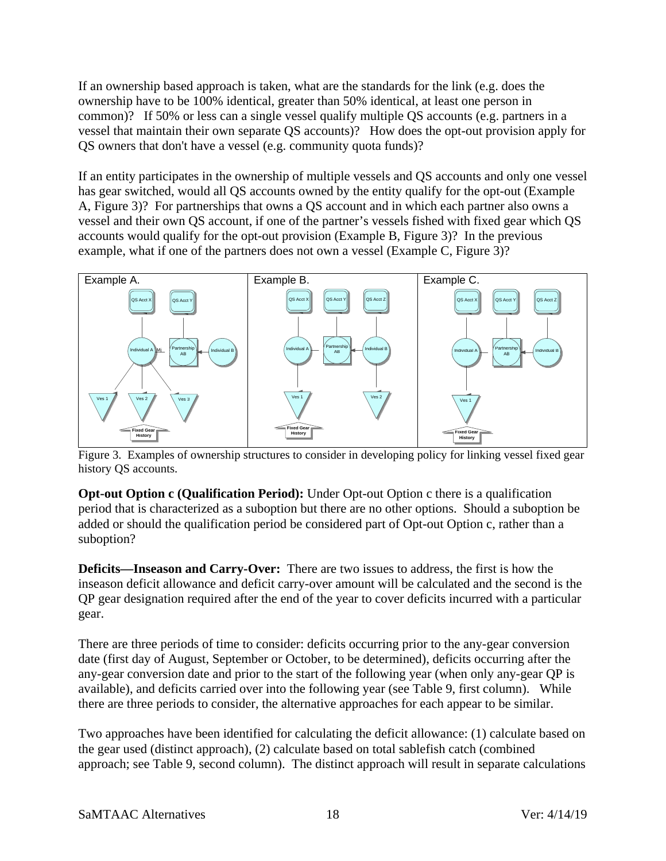If an ownership based approach is taken, what are the standards for the link (e.g. does the ownership have to be 100% identical, greater than 50% identical, at least one person in common)? If 50% or less can a single vessel qualify multiple QS accounts (e.g. partners in a vessel that maintain their own separate QS accounts)? How does the opt-out provision apply for QS owners that don't have a vessel (e.g. community quota funds)?

If an entity participates in the ownership of multiple vessels and QS accounts and only one vessel has gear switched, would all QS accounts owned by the entity qualify for the opt-out (Example A, [Figure 3\)](#page-17-0)? For partnerships that owns a QS account and in which each partner also owns a vessel and their own QS account, if one of the partner's vessels fished with fixed gear which QS accounts would qualify for the opt-out provision (Example B, [Figure 3\)](#page-17-0)? In the previous example, what if one of the partners does not own a vessel (Example C, [Figure 3\)](#page-17-0)?



<span id="page-17-0"></span>Figure 3. Examples of ownership structures to consider in developing policy for linking vessel fixed gear history QS accounts.

**Opt-out Option c (Qualification Period):** Under Opt-out Option c there is a qualification period that is characterized as a suboption but there are no other options. Should a suboption be added or should the qualification period be considered part of Opt-out Option c, rather than a suboption?

**Deficits—Inseason and Carry-Over:** There are two issues to address, the first is how the inseason deficit allowance and deficit carry-over amount will be calculated and the second is the QP gear designation required after the end of the year to cover deficits incurred with a particular gear.

There are three periods of time to consider: deficits occurring prior to the any-gear conversion date (first day of August, September or October, to be determined), deficits occurring after the any-gear conversion date and prior to the start of the following year (when only any-gear QP is available), and deficits carried over into the following year (see [Table 9,](#page-20-0) first column). While there are three periods to consider, the alternative approaches for each appear to be similar.

Two approaches have been identified for calculating the deficit allowance: (1) calculate based on the gear used (distinct approach), (2) calculate based on total sablefish catch (combined approach; see [Table 9,](#page-20-0) second column). The distinct approach will result in separate calculations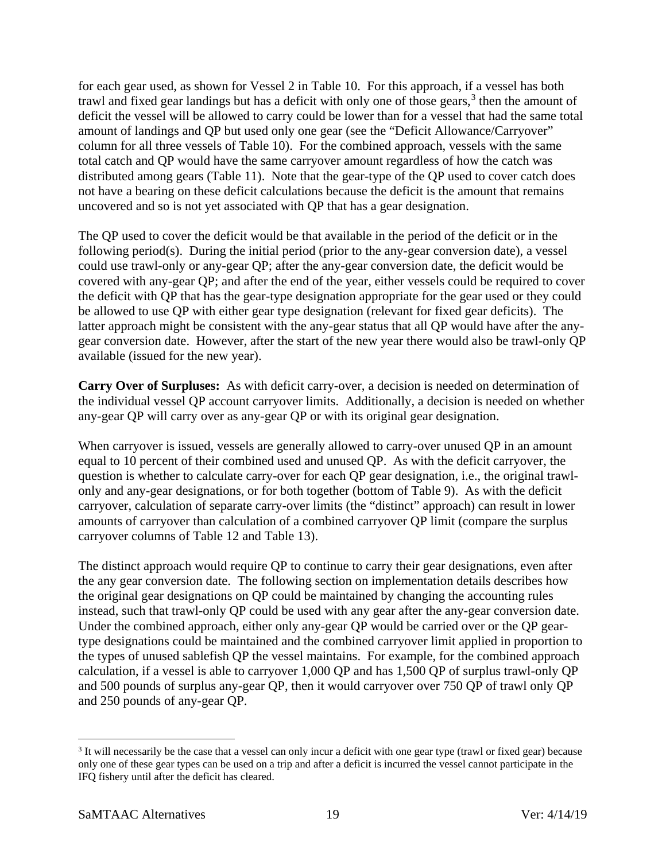for each gear used, as shown for Vessel 2 in [Table 10.](#page-22-0) For this approach, if a vessel has both trawl and fixed gear landings but has a deficit with only one of those gears, $3$  then the amount of deficit the vessel will be allowed to carry could be lower than for a vessel that had the same total amount of landings and QP but used only one gear (see the "Deficit Allowance/Carryover" column for all three vessels of [Table 10\)](#page-22-0). For the combined approach, vessels with the same total catch and QP would have the same carryover amount regardless of how the catch was distributed among gears [\(Table 11\)](#page-22-1). Note that the gear-type of the QP used to cover catch does not have a bearing on these deficit calculations because the deficit is the amount that remains uncovered and so is not yet associated with QP that has a gear designation.

The QP used to cover the deficit would be that available in the period of the deficit or in the following period(s). During the initial period (prior to the any-gear conversion date), a vessel could use trawl-only or any-gear QP; after the any-gear conversion date, the deficit would be covered with any-gear QP; and after the end of the year, either vessels could be required to cover the deficit with QP that has the gear-type designation appropriate for the gear used or they could be allowed to use QP with either gear type designation (relevant for fixed gear deficits). The latter approach might be consistent with the any-gear status that all QP would have after the anygear conversion date. However, after the start of the new year there would also be trawl-only QP available (issued for the new year).

**Carry Over of Surpluses:** As with deficit carry-over, a decision is needed on determination of the individual vessel QP account carryover limits. Additionally, a decision is needed on whether any-gear QP will carry over as any-gear QP or with its original gear designation.

When carryover is issued, vessels are generally allowed to carry-over unused QP in an amount equal to 10 percent of their combined used and unused QP. As with the deficit carryover, the question is whether to calculate carry-over for each QP gear designation, i.e., the original trawlonly and any-gear designations, or for both together (bottom of [Table 9\)](#page-20-0). As with the deficit carryover, calculation of separate carry-over limits (the "distinct" approach) can result in lower amounts of carryover than calculation of a combined carryover QP limit (compare the surplus carryover columns of [Table 12](#page-22-2) and [Table 13\)](#page-22-3).

The distinct approach would require QP to continue to carry their gear designations, even after the any gear conversion date. The following section on implementation details describes how the original gear designations on QP could be maintained by changing the accounting rules instead, such that trawl-only QP could be used with any gear after the any-gear conversion date. Under the combined approach, either only any-gear QP would be carried over or the QP geartype designations could be maintained and the combined carryover limit applied in proportion to the types of unused sablefish QP the vessel maintains. For example, for the combined approach calculation, if a vessel is able to carryover 1,000 QP and has 1,500 QP of surplus trawl-only QP and 500 pounds of surplus any-gear QP, then it would carryover over 750 QP of trawl only QP and 250 pounds of any-gear QP.

<span id="page-18-0"></span> <sup>3</sup> It will necessarily be the case that a vessel can only incur a deficit with one gear type (trawl or fixed gear) because only one of these gear types can be used on a trip and after a deficit is incurred the vessel cannot participate in the IFQ fishery until after the deficit has cleared.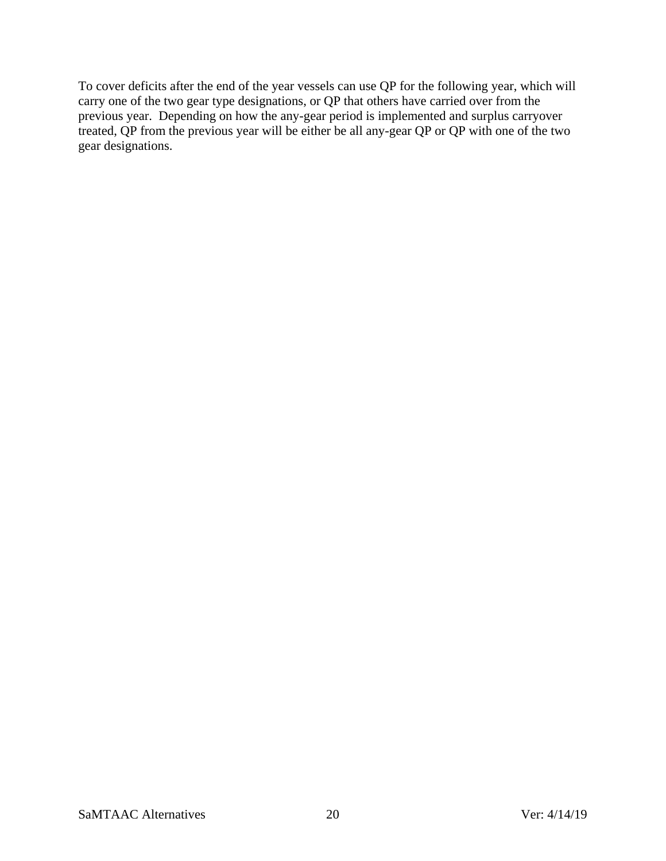To cover deficits after the end of the year vessels can use QP for the following year, which will carry one of the two gear type designations, or QP that others have carried over from the previous year. Depending on how the any-gear period is implemented and surplus carryover treated, QP from the previous year will be either be all any-gear QP or QP with one of the two gear designations.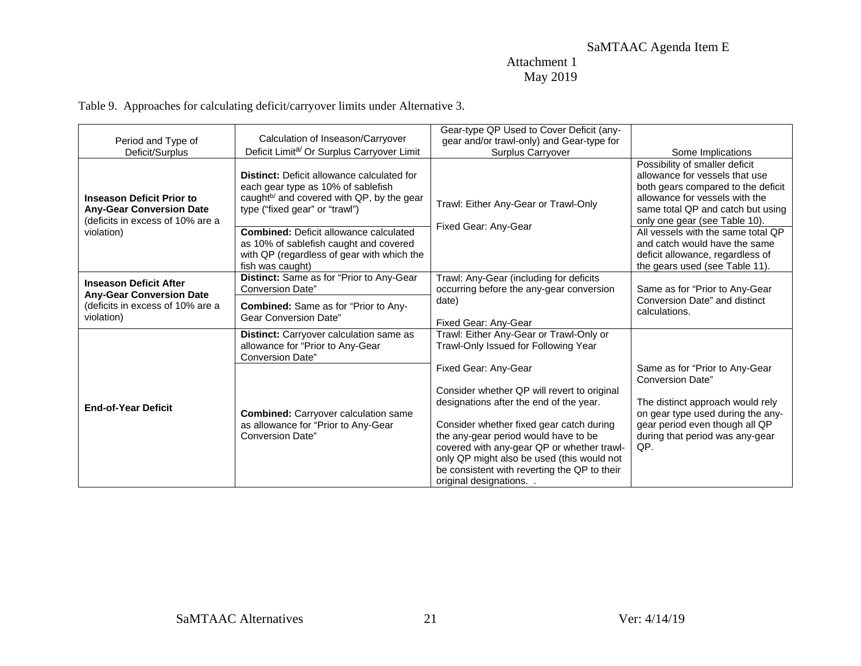## Attachment 1 May 2019

Table 9. Approaches for calculating deficit/carryover limits under Alternative 3.

<span id="page-20-0"></span>

| Period and Type of                                                                                      | Calculation of Inseason/Carryover                                                                                                                                                  | Gear-type QP Used to Cover Deficit (any-<br>gear and/or trawl-only) and Gear-type for                                                                                                                     |                                                                                                                                                                                                                |
|---------------------------------------------------------------------------------------------------------|------------------------------------------------------------------------------------------------------------------------------------------------------------------------------------|-----------------------------------------------------------------------------------------------------------------------------------------------------------------------------------------------------------|----------------------------------------------------------------------------------------------------------------------------------------------------------------------------------------------------------------|
| Deficit/Surplus                                                                                         | Deficit Limit <sup>a/</sup> Or Surplus Carryover Limit                                                                                                                             | <b>Surplus Carryover</b>                                                                                                                                                                                  | Some Implications                                                                                                                                                                                              |
| <b>Inseason Deficit Prior to</b><br><b>Any-Gear Conversion Date</b><br>(deficits in excess of 10% are a | <b>Distinct:</b> Deficit allowance calculated for<br>each gear type as 10% of sablefish<br>caught <sup>b/</sup> and covered with QP, by the gear<br>type ("fixed gear" or "trawl") | Trawl: Either Any-Gear or Trawl-Only<br>Fixed Gear: Any-Gear                                                                                                                                              | Possibility of smaller deficit<br>allowance for vessels that use<br>both gears compared to the deficit<br>allowance for vessels with the<br>same total QP and catch but using<br>only one gear (see Table 10). |
| violation)                                                                                              | <b>Combined: Deficit allowance calculated</b><br>as 10% of sablefish caught and covered<br>with QP (regardless of gear with which the<br>fish was caught)                          |                                                                                                                                                                                                           | All vessels with the same total QP<br>and catch would have the same<br>deficit allowance, regardless of<br>the gears used (see Table 11).                                                                      |
| <b>Inseason Deficit After</b><br><b>Any-Gear Conversion Date</b>                                        | Distinct: Same as for "Prior to Any-Gear<br><b>Conversion Date"</b>                                                                                                                | Trawl: Any-Gear (including for deficits<br>occurring before the any-gear conversion                                                                                                                       | Same as for "Prior to Any-Gear                                                                                                                                                                                 |
| (deficits in excess of 10% are a<br>violation)                                                          | <b>Combined:</b> Same as for "Prior to Any-<br>Gear Conversion Date"                                                                                                               | date)<br>Fixed Gear: Any-Gear                                                                                                                                                                             | Conversion Date" and distinct<br>calculations.                                                                                                                                                                 |
|                                                                                                         | Distinct: Carryover calculation same as<br>allowance for "Prior to Any-Gear<br>Conversion Date"                                                                                    | Trawl: Either Any-Gear or Trawl-Only or<br>Trawl-Only Issued for Following Year                                                                                                                           |                                                                                                                                                                                                                |
|                                                                                                         |                                                                                                                                                                                    | Fixed Gear: Any-Gear                                                                                                                                                                                      | Same as for "Prior to Any-Gear"<br><b>Conversion Date"</b>                                                                                                                                                     |
| <b>End-of-Year Deficit</b>                                                                              | <b>Combined:</b> Carryover calculation same<br>as allowance for "Prior to Any-Gear                                                                                                 | Consider whether QP will revert to original<br>designations after the end of the year.<br>Consider whether fixed gear catch during                                                                        | The distinct approach would rely<br>on gear type used during the any-<br>gear period even though all QP                                                                                                        |
|                                                                                                         | <b>Conversion Date"</b>                                                                                                                                                            | the any-gear period would have to be<br>covered with any-gear QP or whether trawl-<br>only QP might also be used (this would not<br>be consistent with reverting the QP to their<br>original designations | during that period was any-gear<br>QP.                                                                                                                                                                         |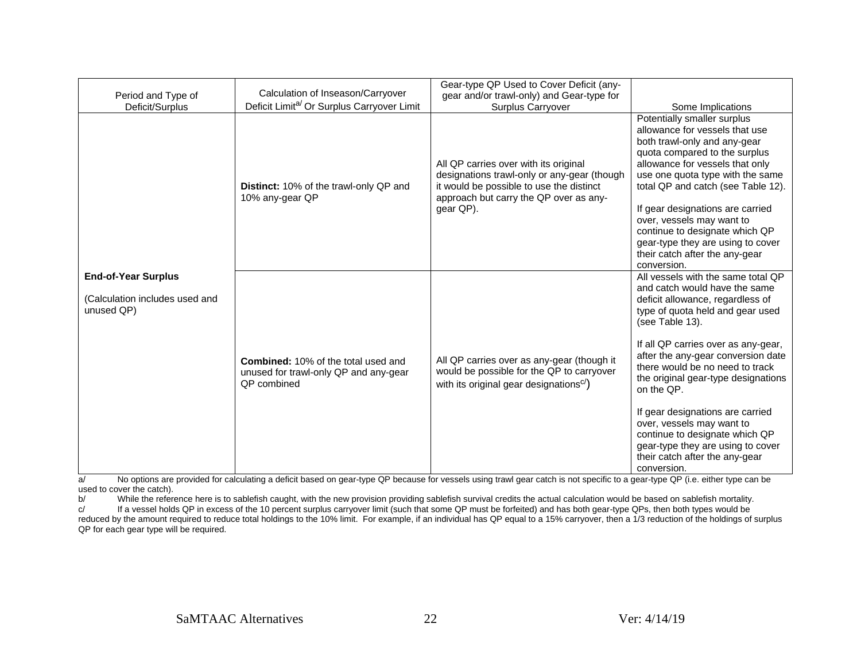|                                                                            |                                                                                                           | Gear-type QP Used to Cover Deficit (any-                                                                                                                                                |                                                                                                                                                                                                                                                                                                                                                                                                                                                                                                                              |
|----------------------------------------------------------------------------|-----------------------------------------------------------------------------------------------------------|-----------------------------------------------------------------------------------------------------------------------------------------------------------------------------------------|------------------------------------------------------------------------------------------------------------------------------------------------------------------------------------------------------------------------------------------------------------------------------------------------------------------------------------------------------------------------------------------------------------------------------------------------------------------------------------------------------------------------------|
| Period and Type of                                                         | Calculation of Inseason/Carryover                                                                         | gear and/or trawl-only) and Gear-type for                                                                                                                                               |                                                                                                                                                                                                                                                                                                                                                                                                                                                                                                                              |
| Deficit/Surplus                                                            | Deficit Limit <sup>a/</sup> Or Surplus Carryover Limit                                                    | Surplus Carryover                                                                                                                                                                       | Some Implications                                                                                                                                                                                                                                                                                                                                                                                                                                                                                                            |
|                                                                            | Distinct: 10% of the trawl-only QP and<br>10% any-gear QP                                                 | All QP carries over with its original<br>designations trawl-only or any-gear (though<br>it would be possible to use the distinct<br>approach but carry the QP over as any-<br>gear QP). | Potentially smaller surplus<br>allowance for vessels that use<br>both trawl-only and any-gear<br>quota compared to the surplus<br>allowance for vessels that only<br>use one quota type with the same<br>total QP and catch (see Table 12).<br>If gear designations are carried<br>over, vessels may want to<br>continue to designate which QP<br>gear-type they are using to cover<br>their catch after the any-gear<br>conversion.                                                                                         |
| <b>End-of-Year Surplus</b><br>(Calculation includes used and<br>unused QP) | <b>Combined:</b> 10% of the total used and<br>unused for trawl-only QP and any-gear<br><b>QP</b> combined | All QP carries over as any-gear (though it<br>would be possible for the QP to carryover<br>with its original gear designations <sup>c/</sup> )                                          | All vessels with the same total QP<br>and catch would have the same<br>deficit allowance, regardless of<br>type of quota held and gear used<br>(see Table 13).<br>If all QP carries over as any-gear,<br>after the any-gear conversion date<br>there would be no need to track<br>the original gear-type designations<br>on the QP.<br>If gear designations are carried<br>over, vessels may want to<br>continue to designate which QP<br>gear-type they are using to cover<br>their catch after the any-gear<br>conversion. |

a/ No options are provided for calculating a deficit based on gear-type QP because for vessels using trawl gear catch is not specific to a gear-type QP (i.e. either type can be used to cover the catch).<br>b/ While the refere

b/ While the reference here is to sablefish caught, with the new provision providing sablefish survival credits the actual calculation would be based on sablefish mortality.<br>
If a vessel holds QP in excess of the 10 percen

If a vessel holds QP in excess of the 10 percent surplus carryover limit (such that some QP must be forfeited) and has both gear-type QPs, then both types would be reduced by the amount required to reduce total holdings to the 10% limit. For example, if an individual has QP equal to a 15% carryover, then a 1/3 reduction of the holdings of surplus QP for each gear type will be required.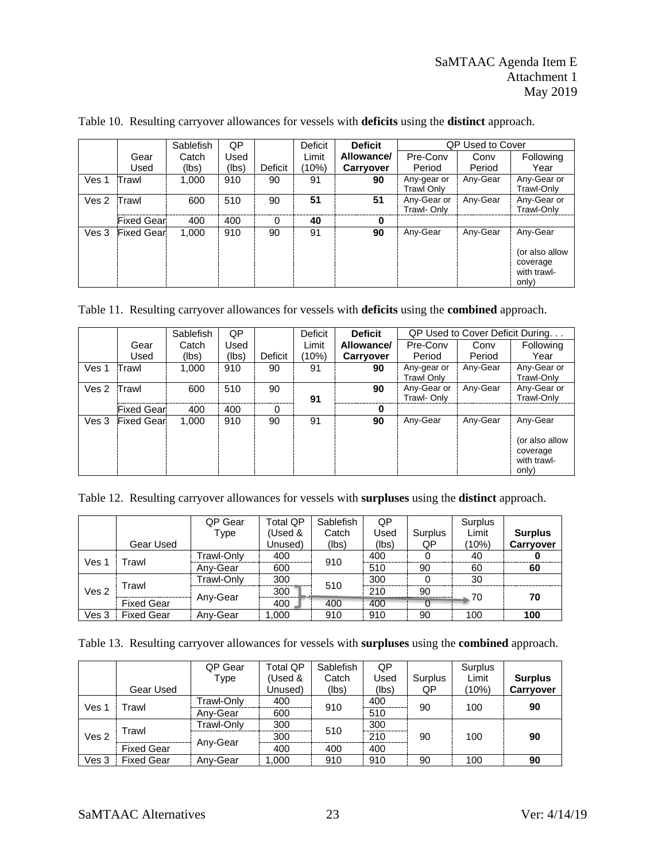|       |                    | <b>Sablefish</b> | QP    |         | <b>Deficit</b> | <b>Deficit</b> |                            | <b>QP Used to Cover</b> |                                                    |  |
|-------|--------------------|------------------|-------|---------|----------------|----------------|----------------------------|-------------------------|----------------------------------------------------|--|
|       | Gear               | Catch            | Used  |         | Limit          | Allowance/     | Pre-Conv                   | Conv                    | Following                                          |  |
|       | Used               | (lbs)            | (lbs) | Deficit | (10%)          | Carryover      | Period                     | Period                  | Year                                               |  |
| Ves 1 | lTrawl             | 1,000            | 910   | 90      | 91             | 90             | Any-gear or<br>Trawl Onlv  | Any-Gear                | Any-Gear or<br>Trawl-Onlv                          |  |
| Ves 2 | Trawl              | 600              | 510   | 90      | 51             | 51             | Any-Gear or<br>Trawl- Only | Any-Gear                | Any-Gear or<br>Trawl-Only                          |  |
|       | <b>Fixed Gear</b>  | 400              | 400   | 0       | 40             | 0              |                            |                         |                                                    |  |
| Ves 3 | <b>Fixed Gearl</b> | 1,000            | 910   | 90      | 91             | 90             | Any-Gear                   | Any-Gear                | Any-Gear                                           |  |
|       |                    |                  |       |         |                |                |                            |                         | (or also allow<br>coverage<br>with trawl-<br>only) |  |

<span id="page-22-5"></span><span id="page-22-4"></span><span id="page-22-0"></span>Table 10. Resulting carryover allowances for vessels with **deficits** using the **distinct** approach.

<span id="page-22-6"></span><span id="page-22-1"></span>Table 11. Resulting carryover allowances for vessels with **deficits** using the **combined** approach.

|                  |                    | Sablefish | QP    |         | Deficit | <b>Deficit</b> | QP Used to Cover Deficit During. |          |                                                                |
|------------------|--------------------|-----------|-------|---------|---------|----------------|----------------------------------|----------|----------------------------------------------------------------|
|                  | Gear               | Catch     | Used  |         | Limit   | Allowance/     | Pre-Conv                         | Conv     | Following                                                      |
|                  | Used               | (lbs)     | (lbs) | Deficit | (10%)   | Carryover      | Period                           | Period   | Year                                                           |
| Ves 1            | <b>:Trawl</b>      | 1,000     | 910   | 90      | 91      | 90             | Any-gear or<br><b>Trawl Only</b> | Any-Gear | Any-Gear or<br>Trawl-Onlv                                      |
| Ves <sub>2</sub> | Trawl              | 600       | 510   | 90      | 91      | 90             | Any-Gear or<br>Trawl- Only       | Any-Gear | Any-Gear or<br>Trawl-Only                                      |
|                  | <b>Fixed Gear</b>  | 400       | 400   | 0       |         | 0              |                                  |          |                                                                |
| Ves 3            | <b>Fixed Gearl</b> | 1,000     | 910   | 90      | 91      | 90             | Any-Gear                         | Any-Gear | Any-Gear<br>(or also allow<br>coverage<br>with trawl-<br>only) |

<span id="page-22-7"></span><span id="page-22-2"></span>Table 12. Resulting carryover allowances for vessels with **surpluses** using the **distinct** approach.

|                  |                   | QP Gear    | <b>Total QP</b> | Sablefish | QP    |         | Surplus |                |
|------------------|-------------------|------------|-----------------|-----------|-------|---------|---------|----------------|
|                  |                   | Type       | (Used &         | Catch     | Used  | Surplus | Limit   | <b>Surplus</b> |
|                  | Gear Used         |            | Unused)         | (lbs)     | (lbs) | QP      | (10%)   | Carryover      |
| Ves :            | Trawl             | Trawl-Only | 400             | 910       | 400   | 0       | 40      |                |
|                  |                   | Any-Gear   | 600             |           | 510   | 90      | 60      | 60             |
|                  | Trawl             | Trawl-Only | 300             | 510       | 300   |         | 30      |                |
| Ves <sub>2</sub> |                   |            | 300             |           | 210   | 90      | 70      | 70             |
|                  | <b>Fixed Gear</b> | Any-Gear   | 400             | 400       | 400   |         |         |                |
| Ves 3            | <b>Fixed Gear</b> | Anv-Gear   | 1,000           | 910       | 910   | 90      | 100     | 100            |

<span id="page-22-3"></span>

|  | Table 13. Resulting carryover allowances for vessels with surpluses using the combined approach. |  |  |  |
|--|--------------------------------------------------------------------------------------------------|--|--|--|
|  |                                                                                                  |  |  |  |

|                  |                   | QP Gear<br>Type | <b>Total QP</b><br>(Used & | Sablefish<br>Catch | QP<br>Used | Surplus | Surplus<br>Limit | <b>Surplus</b>   |
|------------------|-------------------|-----------------|----------------------------|--------------------|------------|---------|------------------|------------------|
|                  | Gear Used         |                 | Unused)                    | (lbs)              | (lbs)      | QP      | (10%)            | <b>Carryover</b> |
| Ves '            | Trawl             | Trawl-Only      | 400                        | 910                | 400        | 90      | 100              | 90               |
|                  |                   | Anv-Gear        | 600                        |                    | 510        |         |                  |                  |
|                  | Trawl             | Trawl-Only      | 300                        | 510                | 300        |         |                  |                  |
| Ves <sub>2</sub> |                   |                 | 300                        |                    | 210        | 90      | 100              | 90               |
|                  | <b>Fixed Gear</b> | Any-Gear        | 400                        | 400                | 400        |         |                  |                  |
| Ves 3            | <b>Fixed Gear</b> | Any-Gear        | 1.000                      | 910                | 910        | 90      | 100              | 90               |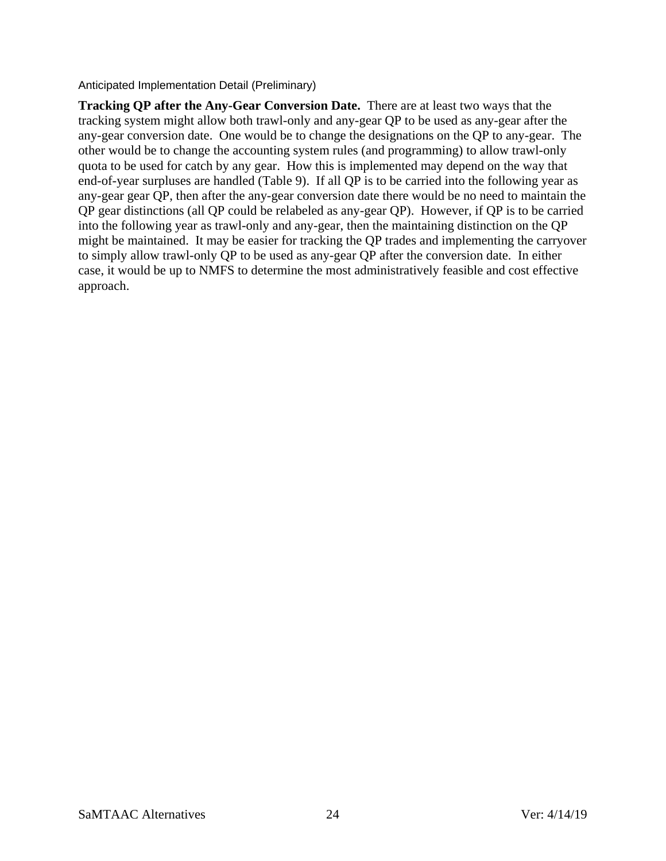<span id="page-23-0"></span>Anticipated Implementation Detail (Preliminary)

**Tracking QP after the Any-Gear Conversion Date.** There are at least two ways that the tracking system might allow both trawl-only and any-gear QP to be used as any-gear after the any-gear conversion date. One would be to change the designations on the QP to any-gear. The other would be to change the accounting system rules (and programming) to allow trawl-only quota to be used for catch by any gear. How this is implemented may depend on the way that end-of-year surpluses are handled [\(Table 9\)](#page-20-0). If all QP is to be carried into the following year as any-gear gear QP, then after the any-gear conversion date there would be no need to maintain the QP gear distinctions (all QP could be relabeled as any-gear QP). However, if QP is to be carried into the following year as trawl-only and any-gear, then the maintaining distinction on the QP might be maintained. It may be easier for tracking the QP trades and implementing the carryover to simply allow trawl-only QP to be used as any-gear QP after the conversion date. In either case, it would be up to NMFS to determine the most administratively feasible and cost effective approach.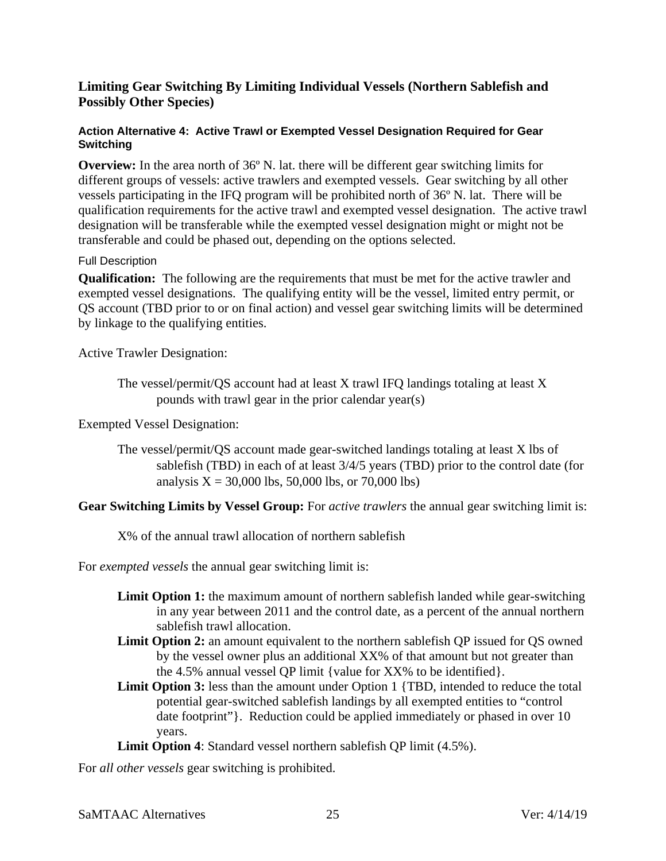## <span id="page-24-0"></span>**Limiting Gear Switching By Limiting Individual Vessels (Northern Sablefish and Possibly Other Species)**

#### <span id="page-24-1"></span>**Action Alternative 4: Active Trawl or Exempted Vessel Designation Required for Gear Switching**

**Overview:** In the area north of 36<sup>o</sup> N. lat. there will be different gear switching limits for different groups of vessels: active trawlers and exempted vessels. Gear switching by all other vessels participating in the IFQ program will be prohibited north of 36º N. lat. There will be qualification requirements for the active trawl and exempted vessel designation. The active trawl designation will be transferable while the exempted vessel designation might or might not be transferable and could be phased out, depending on the options selected.

## <span id="page-24-2"></span>Full Description

**Qualification:** The following are the requirements that must be met for the active trawler and exempted vessel designations. The qualifying entity will be the vessel, limited entry permit, or QS account (TBD prior to or on final action) and vessel gear switching limits will be determined by linkage to the qualifying entities.

Active Trawler Designation:

The vessel/permit/QS account had at least X trawl IFQ landings totaling at least X pounds with trawl gear in the prior calendar year(s)

Exempted Vessel Designation:

The vessel/permit/QS account made gear-switched landings totaling at least X lbs of sablefish (TBD) in each of at least 3/4/5 years (TBD) prior to the control date (for analysis  $X = 30,000$  lbs, 50,000 lbs, or 70,000 lbs)

**Gear Switching Limits by Vessel Group:** For *active trawlers* the annual gear switching limit is:

X% of the annual trawl allocation of northern sablefish

For *exempted vessels* the annual gear switching limit is:

- **Limit Option 1:** the maximum amount of northern sablefish landed while gear-switching in any year between 2011 and the control date, as a percent of the annual northern sablefish trawl allocation.
- **Limit Option 2:** an amount equivalent to the northern sablefish QP issued for QS owned by the vessel owner plus an additional XX% of that amount but not greater than the 4.5% annual vessel QP limit {value for XX% to be identified}.
- **Limit Option 3:** less than the amount under Option 1 {TBD, intended to reduce the total potential gear-switched sablefish landings by all exempted entities to "control date footprint"}. Reduction could be applied immediately or phased in over 10 years.

**Limit Option 4**: Standard vessel northern sablefish QP limit (4.5%).

For *all other vessels* gear switching is prohibited.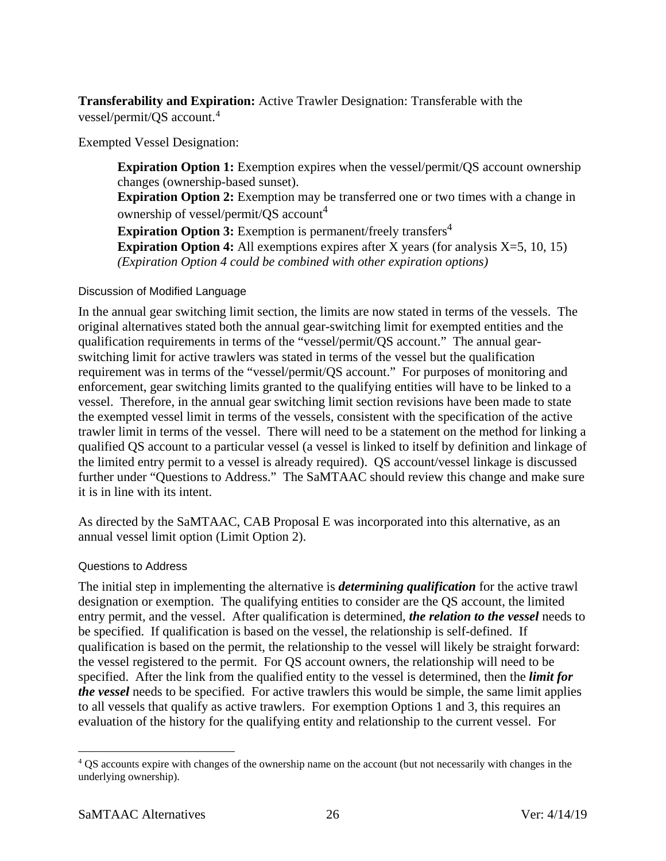**Transferability and Expiration:** Active Trawler Designation: Transferable with the vessel/permit/QS account. [4](#page-25-3)

Exempted Vessel Designation:

<span id="page-25-2"></span>**Expiration Option 1:** Exemption expires when the vessel/permit/QS account ownership changes (ownership-based sunset). **Expiration Option 2:** Exemption may be transferred one or two times with a change in ownership of vessel/permit/QS account<sup>[4](#page-25-2)</sup> **Expiration Option 3:** Exemption is permanent/freely transfers<sup>[4](#page-25-2)</sup> **Expiration Option 4:** All exemptions expires after X years (for analysis X=5, 10, 15) *(Expiration Option 4 could be combined with other expiration options)*

## <span id="page-25-0"></span>Discussion of Modified Language

In the annual gear switching limit section, the limits are now stated in terms of the vessels. The original alternatives stated both the annual gear-switching limit for exempted entities and the qualification requirements in terms of the "vessel/permit/QS account." The annual gearswitching limit for active trawlers was stated in terms of the vessel but the qualification requirement was in terms of the "vessel/permit/QS account." For purposes of monitoring and enforcement, gear switching limits granted to the qualifying entities will have to be linked to a vessel. Therefore, in the annual gear switching limit section revisions have been made to state the exempted vessel limit in terms of the vessels, consistent with the specification of the active trawler limit in terms of the vessel. There will need to be a statement on the method for linking a qualified QS account to a particular vessel (a vessel is linked to itself by definition and linkage of the limited entry permit to a vessel is already required). QS account/vessel linkage is discussed further under "Questions to Address." The SaMTAAC should review this change and make sure it is in line with its intent.

As directed by the SaMTAAC, CAB Proposal E was incorporated into this alternative, as an annual vessel limit option (Limit Option 2).

## <span id="page-25-1"></span>Questions to Address

The initial step in implementing the alternative is *determining qualification* for the active trawl designation or exemption. The qualifying entities to consider are the QS account, the limited entry permit, and the vessel. After qualification is determined, *the relation to the vessel* needs to be specified. If qualification is based on the vessel, the relationship is self-defined. If qualification is based on the permit, the relationship to the vessel will likely be straight forward: the vessel registered to the permit. For QS account owners, the relationship will need to be specified. After the link from the qualified entity to the vessel is determined, then the *limit for the vessel* needs to be specified. For active trawlers this would be simple, the same limit applies to all vessels that qualify as active trawlers. For exemption Options 1 and 3, this requires an evaluation of the history for the qualifying entity and relationship to the current vessel. For

<span id="page-25-3"></span> <sup>4</sup> QS accounts expire with changes of the ownership name on the account (but not necessarily with changes in the underlying ownership).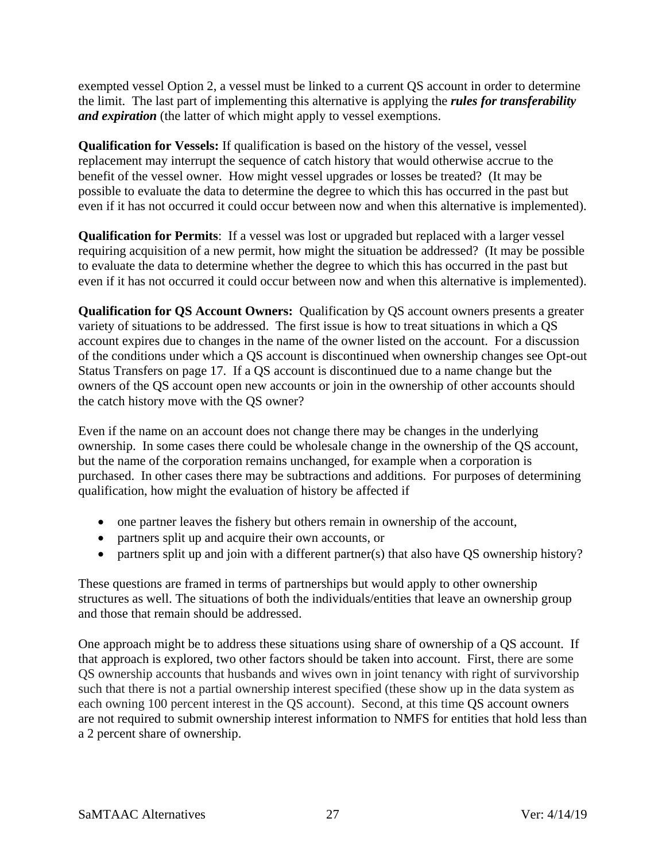exempted vessel Option 2, a vessel must be linked to a current QS account in order to determine the limit. The last part of implementing this alternative is applying the *rules for transferability and expiration* (the latter of which might apply to vessel exemptions.

**Qualification for Vessels:** If qualification is based on the history of the vessel, vessel replacement may interrupt the sequence of catch history that would otherwise accrue to the benefit of the vessel owner. How might vessel upgrades or losses be treated? (It may be possible to evaluate the data to determine the degree to which this has occurred in the past but even if it has not occurred it could occur between now and when this alternative is implemented).

**Qualification for Permits**: If a vessel was lost or upgraded but replaced with a larger vessel requiring acquisition of a new permit, how might the situation be addressed? (It may be possible to evaluate the data to determine whether the degree to which this has occurred in the past but even if it has not occurred it could occur between now and when this alternative is implemented).

**Qualification for QS Account Owners:** Qualification by QS account owners presents a greater variety of situations to be addressed. The first issue is how to treat situations in which a QS account expires due to changes in the name of the owner listed on the account. For a discussion of the conditions under which a QS account is discontinued when ownership changes see [Opt-out](#page-16-1)  [Status Transfers](#page-16-1) on page [17.](#page-16-1) If a QS account is discontinued due to a name change but the owners of the QS account open new accounts or join in the ownership of other accounts should the catch history move with the QS owner?

Even if the name on an account does not change there may be changes in the underlying ownership. In some cases there could be wholesale change in the ownership of the QS account, but the name of the corporation remains unchanged, for example when a corporation is purchased. In other cases there may be subtractions and additions. For purposes of determining qualification, how might the evaluation of history be affected if

- one partner leaves the fishery but others remain in ownership of the account,
- partners split up and acquire their own accounts, or
- partners split up and join with a different partner(s) that also have QS ownership history?

These questions are framed in terms of partnerships but would apply to other ownership structures as well. The situations of both the individuals/entities that leave an ownership group and those that remain should be addressed.

One approach might be to address these situations using share of ownership of a QS account. If that approach is explored, two other factors should be taken into account. First, there are some QS ownership accounts that husbands and wives own in joint tenancy with right of survivorship such that there is not a partial ownership interest specified (these show up in the data system as each owning 100 percent interest in the QS account). Second, at this time QS account owners are not required to submit ownership interest information to NMFS for entities that hold less than a 2 percent share of ownership.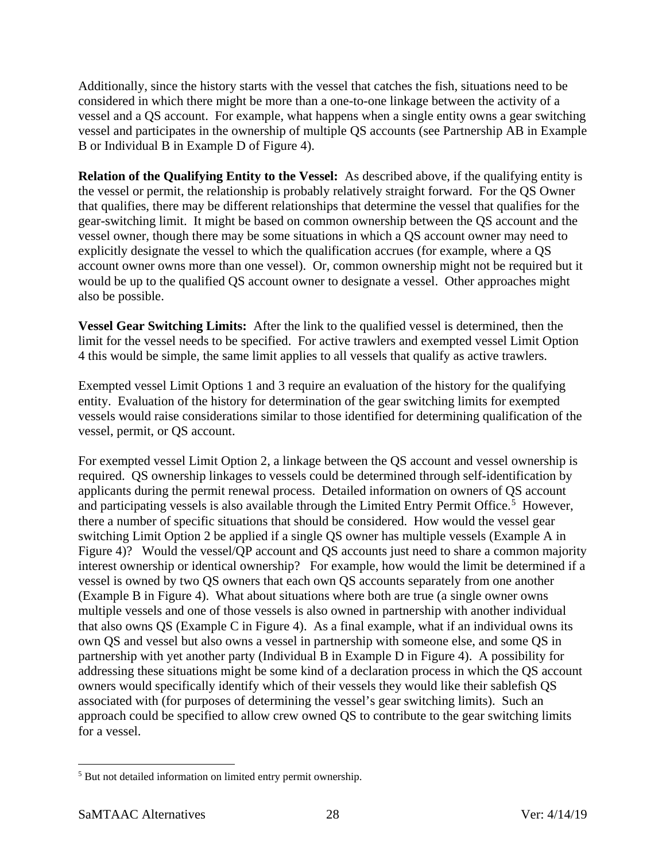Additionally, since the history starts with the vessel that catches the fish, situations need to be considered in which there might be more than a one-to-one linkage between the activity of a vessel and a QS account. For example, what happens when a single entity owns a gear switching vessel and participates in the ownership of multiple QS accounts (see Partnership AB in Example B or Individual B in Example D of [Figure 4\)](#page-28-0).

**Relation of the Qualifying Entity to the Vessel:** As described above, if the qualifying entity is the vessel or permit, the relationship is probably relatively straight forward. For the QS Owner that qualifies, there may be different relationships that determine the vessel that qualifies for the gear-switching limit. It might be based on common ownership between the QS account and the vessel owner, though there may be some situations in which a QS account owner may need to explicitly designate the vessel to which the qualification accrues (for example, where a QS account owner owns more than one vessel). Or, common ownership might not be required but it would be up to the qualified QS account owner to designate a vessel. Other approaches might also be possible.

**Vessel Gear Switching Limits:** After the link to the qualified vessel is determined, then the limit for the vessel needs to be specified. For active trawlers and exempted vessel Limit Option 4 this would be simple, the same limit applies to all vessels that qualify as active trawlers.

Exempted vessel Limit Options 1 and 3 require an evaluation of the history for the qualifying entity. Evaluation of the history for determination of the gear switching limits for exempted vessels would raise considerations similar to those identified for determining qualification of the vessel, permit, or QS account.

For exempted vessel Limit Option 2, a linkage between the QS account and vessel ownership is required. QS ownership linkages to vessels could be determined through self-identification by applicants during the permit renewal process. Detailed information on owners of QS account and participating vessels is also available through the Limited Entry Permit Office.<sup>[5](#page-27-0)</sup> However, there a number of specific situations that should be considered. How would the vessel gear switching Limit Option 2 be applied if a single QS owner has multiple vessels (Example A in [Figure 4\)](#page-28-0)? Would the vessel/QP account and QS accounts just need to share a common majority interest ownership or identical ownership? For example, how would the limit be determined if a vessel is owned by two QS owners that each own QS accounts separately from one another (Example B in [Figure 4\)](#page-28-0). What about situations where both are true (a single owner owns multiple vessels and one of those vessels is also owned in partnership with another individual that also owns QS (Example C in [Figure 4\)](#page-28-0). As a final example, what if an individual owns its own QS and vessel but also owns a vessel in partnership with someone else, and some QS in partnership with yet another party (Individual B in Example D in [Figure 4\)](#page-28-0). A possibility for addressing these situations might be some kind of a declaration process in which the QS account owners would specifically identify which of their vessels they would like their sablefish QS associated with (for purposes of determining the vessel's gear switching limits). Such an approach could be specified to allow crew owned QS to contribute to the gear switching limits for a vessel.

<span id="page-27-0"></span> <sup>5</sup> But not detailed information on limited entry permit ownership.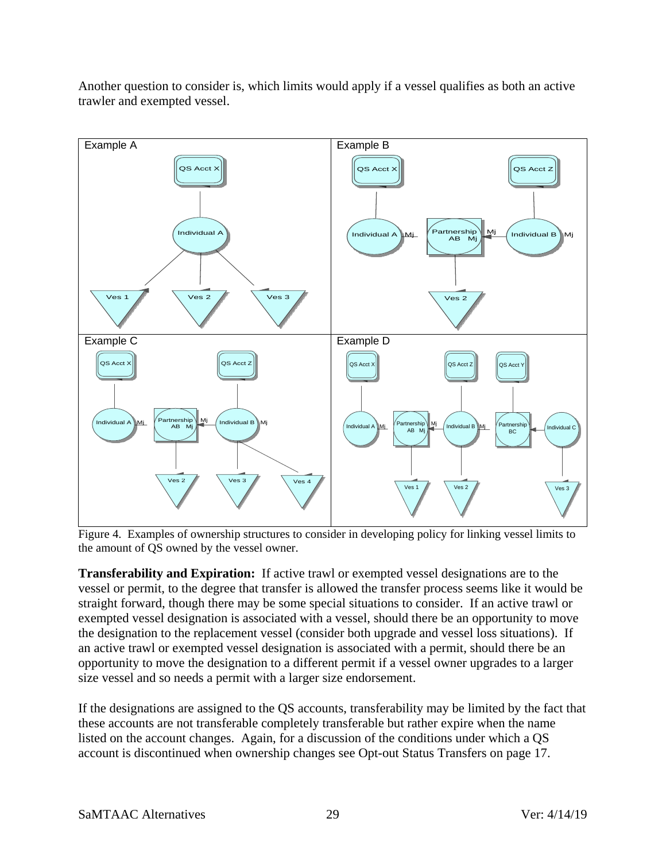

Another question to consider is, which limits would apply if a vessel qualifies as both an active trawler and exempted vessel.

<span id="page-28-0"></span>Figure 4. Examples of ownership structures to consider in developing policy for linking vessel limits to the amount of QS owned by the vessel owner.

**Transferability and Expiration:** If active trawl or exempted vessel designations are to the vessel or permit, to the degree that transfer is allowed the transfer process seems like it would be straight forward, though there may be some special situations to consider. If an active trawl or exempted vessel designation is associated with a vessel, should there be an opportunity to move the designation to the replacement vessel (consider both upgrade and vessel loss situations). If an active trawl or exempted vessel designation is associated with a permit, should there be an opportunity to move the designation to a different permit if a vessel owner upgrades to a larger size vessel and so needs a permit with a larger size endorsement.

If the designations are assigned to the QS accounts, transferability may be limited by the fact that these accounts are not transferable completely transferable but rather expire when the name listed on the account changes. Again, for a discussion of the conditions under which a QS account is discontinued when ownership changes see [Opt-out Status Transfers](#page-16-1) on page [17.](#page-16-1)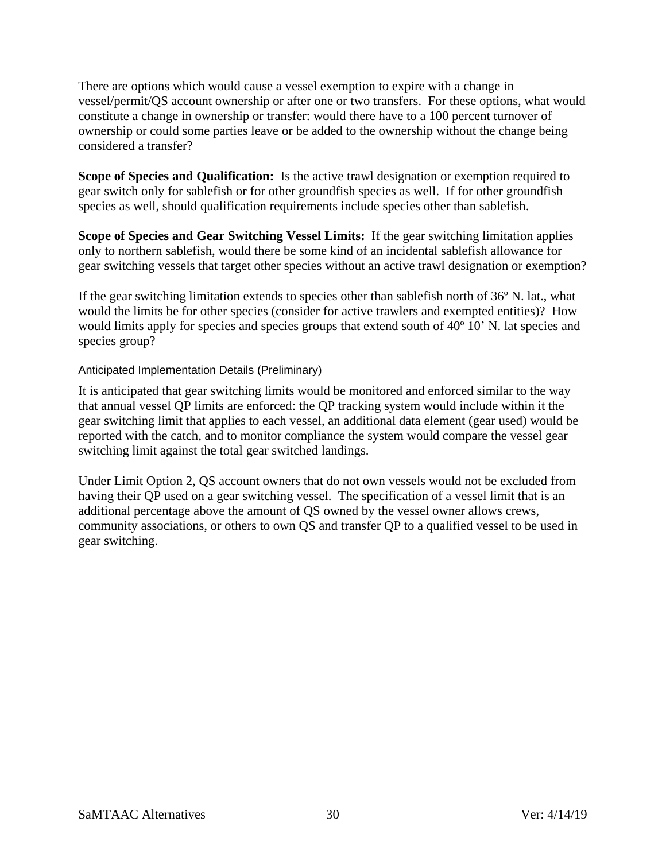There are options which would cause a vessel exemption to expire with a change in vessel/permit/QS account ownership or after one or two transfers. For these options, what would constitute a change in ownership or transfer: would there have to a 100 percent turnover of ownership or could some parties leave or be added to the ownership without the change being considered a transfer?

**Scope of Species and Qualification:** Is the active trawl designation or exemption required to gear switch only for sablefish or for other groundfish species as well. If for other groundfish species as well, should qualification requirements include species other than sablefish.

**Scope of Species and Gear Switching Vessel Limits:** If the gear switching limitation applies only to northern sablefish, would there be some kind of an incidental sablefish allowance for gear switching vessels that target other species without an active trawl designation or exemption?

If the gear switching limitation extends to species other than sablefish north of 36º N. lat., what would the limits be for other species (consider for active trawlers and exempted entities)? How would limits apply for species and species groups that extend south of 40º 10' N. lat species and species group?

<span id="page-29-0"></span>Anticipated Implementation Details (Preliminary)

It is anticipated that gear switching limits would be monitored and enforced similar to the way that annual vessel QP limits are enforced: the QP tracking system would include within it the gear switching limit that applies to each vessel, an additional data element (gear used) would be reported with the catch, and to monitor compliance the system would compare the vessel gear switching limit against the total gear switched landings.

Under Limit Option 2, QS account owners that do not own vessels would not be excluded from having their QP used on a gear switching vessel. The specification of a vessel limit that is an additional percentage above the amount of QS owned by the vessel owner allows crews, community associations, or others to own QS and transfer QP to a qualified vessel to be used in gear switching.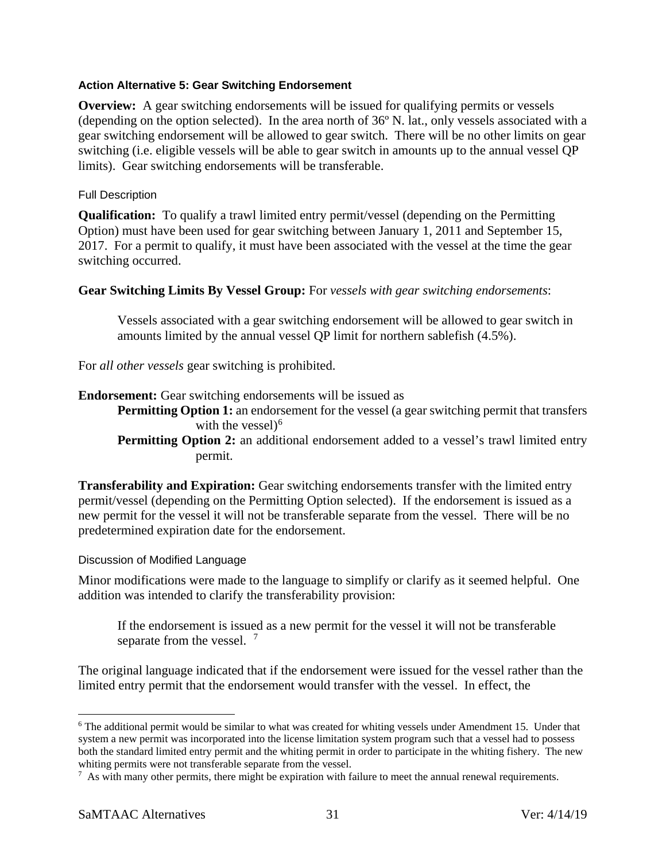#### <span id="page-30-0"></span>**Action Alternative 5: Gear Switching Endorsement**

**Overview:** A gear switching endorsements will be issued for qualifying permits or vessels (depending on the option selected). In the area north of 36º N. lat., only vessels associated with a gear switching endorsement will be allowed to gear switch. There will be no other limits on gear switching (i.e. eligible vessels will be able to gear switch in amounts up to the annual vessel QP limits). Gear switching endorsements will be transferable.

#### <span id="page-30-1"></span>Full Description

**Qualification:** To qualify a trawl limited entry permit/vessel (depending on the Permitting Option) must have been used for gear switching between January 1, 2011 and September 15, 2017. For a permit to qualify, it must have been associated with the vessel at the time the gear switching occurred.

#### **Gear Switching Limits By Vessel Group:** For *vessels with gear switching endorsements*:

Vessels associated with a gear switching endorsement will be allowed to gear switch in amounts limited by the annual vessel QP limit for northern sablefish (4.5%).

For *all other vessels* gear switching is prohibited.

#### **Endorsement:** Gear switching endorsements will be issued as

**Permitting Option 1:** an endorsement for the vessel (a gear switching permit that transfers with the vessel)<sup>[6](#page-30-3)</sup>

## **Permitting Option 2:** an additional endorsement added to a vessel's trawl limited entry permit.

**Transferability and Expiration:** Gear switching endorsements transfer with the limited entry permit/vessel (depending on the Permitting Option selected). If the endorsement is issued as a new permit for the vessel it will not be transferable separate from the vessel. There will be no predetermined expiration date for the endorsement.

#### <span id="page-30-2"></span>Discussion of Modified Language

Minor modifications were made to the language to simplify or clarify as it seemed helpful. One addition was intended to clarify the transferability provision:

If the endorsement is issued as a new permit for the vessel it will not be transferable separate from the vessel. <sup>[7](#page-30-4)</sup>

The original language indicated that if the endorsement were issued for the vessel rather than the limited entry permit that the endorsement would transfer with the vessel. In effect, the

<span id="page-30-3"></span><sup>&</sup>lt;sup>6</sup> The additional permit would be similar to what was created for whiting vessels under Amendment 15. Under that system a new permit was incorporated into the license limitation system program such that a vessel had to possess both the standard limited entry permit and the whiting permit in order to participate in the whiting fishery. The new whiting permits were not transferable separate from the vessel.

<span id="page-30-4"></span><sup>7</sup> As with many other permits, there might be expiration with failure to meet the annual renewal requirements.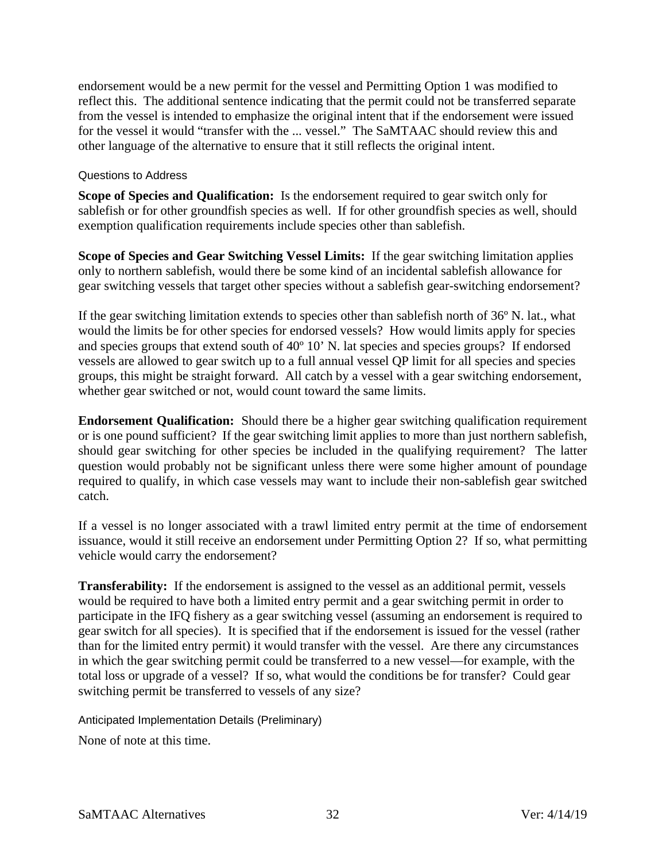endorsement would be a new permit for the vessel and Permitting Option 1 was modified to reflect this. The additional sentence indicating that the permit could not be transferred separate from the vessel is intended to emphasize the original intent that if the endorsement were issued for the vessel it would "transfer with the ... vessel." The SaMTAAC should review this and other language of the alternative to ensure that it still reflects the original intent.

#### <span id="page-31-0"></span>Questions to Address

**Scope of Species and Qualification:** Is the endorsement required to gear switch only for sablefish or for other groundfish species as well. If for other groundfish species as well, should exemption qualification requirements include species other than sablefish.

**Scope of Species and Gear Switching Vessel Limits:** If the gear switching limitation applies only to northern sablefish, would there be some kind of an incidental sablefish allowance for gear switching vessels that target other species without a sablefish gear-switching endorsement?

If the gear switching limitation extends to species other than sablefish north of 36º N. lat., what would the limits be for other species for endorsed vessels? How would limits apply for species and species groups that extend south of 40º 10' N. lat species and species groups? If endorsed vessels are allowed to gear switch up to a full annual vessel QP limit for all species and species groups, this might be straight forward. All catch by a vessel with a gear switching endorsement, whether gear switched or not, would count toward the same limits.

**Endorsement Qualification:** Should there be a higher gear switching qualification requirement or is one pound sufficient? If the gear switching limit applies to more than just northern sablefish, should gear switching for other species be included in the qualifying requirement? The latter question would probably not be significant unless there were some higher amount of poundage required to qualify, in which case vessels may want to include their non-sablefish gear switched catch.

If a vessel is no longer associated with a trawl limited entry permit at the time of endorsement issuance, would it still receive an endorsement under Permitting Option 2? If so, what permitting vehicle would carry the endorsement?

**Transferability:** If the endorsement is assigned to the vessel as an additional permit, vessels would be required to have both a limited entry permit and a gear switching permit in order to participate in the IFQ fishery as a gear switching vessel (assuming an endorsement is required to gear switch for all species). It is specified that if the endorsement is issued for the vessel (rather than for the limited entry permit) it would transfer with the vessel. Are there any circumstances in which the gear switching permit could be transferred to a new vessel—for example, with the total loss or upgrade of a vessel? If so, what would the conditions be for transfer? Could gear switching permit be transferred to vessels of any size?

<span id="page-31-1"></span>Anticipated Implementation Details (Preliminary)

None of note at this time.